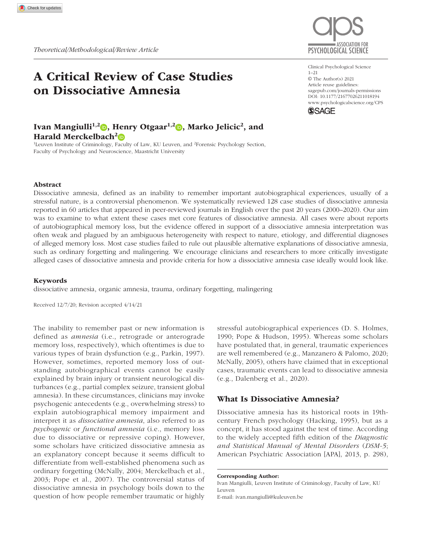# A Critical Review of Case Studies on Dissociative Amnesia

## Ivan Mangiulli<sup>1,2</sup> , Henry Otgaar<sup>1,2</sup> , Marko Jelicic<sup>2</sup>, and Harald Merckelbach<sup>2</sup>

<sup>1</sup>Leuven Institute of Criminology, Faculty of Law, KU Leuven, and <sup>2</sup>Forensic Psychology Section, Faculty of Psychology and Neuroscience, Maastricht University



Clinical Psychological Science 1–21 © The Author(s) 2021 Article reuse guidelines: [sagepub.com/journals-permissions](https://us.sagepub.com/en-us/journals-permissions) https://doi.org/10.1177/21677026211018194 DOI: 10.1177/21677026211018194 [www.psychologicalscience.org/](http://www.psychologicalscience.org/cps)CPS **SSAGE** 

### Abstract

Dissociative amnesia, defined as an inability to remember important autobiographical experiences, usually of a stressful nature, is a controversial phenomenon. We systematically reviewed 128 case studies of dissociative amnesia reported in 60 articles that appeared in peer-reviewed journals in English over the past 20 years (2000–2020). Our aim was to examine to what extent these cases met core features of dissociative amnesia. All cases were about reports of autobiographical memory loss, but the evidence offered in support of a dissociative amnesia interpretation was often weak and plagued by an ambiguous heterogeneity with respect to nature, etiology, and differential diagnoses of alleged memory loss. Most case studies failed to rule out plausible alternative explanations of dissociative amnesia, such as ordinary forgetting and malingering. We encourage clinicians and researchers to more critically investigate alleged cases of dissociative amnesia and provide criteria for how a dissociative amnesia case ideally would look like.

#### Keywords

dissociative amnesia, organic amnesia, trauma, ordinary forgetting, malingering

Received 12/7/20; Revision accepted 4/14/21

The inability to remember past or new information is defined as *amnesia* (i.e., retrograde or anterograde memory loss, respectively), which oftentimes is due to various types of brain dysfunction (e.g., Parkin, 1997). However, sometimes, reported memory loss of outstanding autobiographical events cannot be easily explained by brain injury or transient neurological disturbances (e.g., partial complex seizure, transient global amnesia). In these circumstances, clinicians may invoke psychogenic antecedents (e.g., overwhelming stress) to explain autobiographical memory impairment and interpret it as *dissociative amnesia*, also referred to as *psychogenic* or *functional amnesia* (i.e., memory loss due to dissociative or repressive coping). However, some scholars have criticized dissociative amnesia as an explanatory concept because it seems difficult to differentiate from well-established phenomena such as ordinary forgetting (McNally, 2004; Merckelbach et al., 2003; Pope et al., 2007). The controversial status of dissociative amnesia in psychology boils down to the question of how people remember traumatic or highly

stressful autobiographical experiences (D. S. Holmes, 1990; Pope & Hudson, 1995). Whereas some scholars have postulated that, in general, traumatic experiences are well remembered (e.g., Manzanero & Palomo, 2020; McNally, 2005), others have claimed that in exceptional cases, traumatic events can lead to dissociative amnesia (e.g., Dalenberg et al., 2020).

### What Is Dissociative Amnesia?

Dissociative amnesia has its historical roots in 19thcentury French psychology (Hacking, 1995), but as a concept, it has stood against the test of time. According to the widely accepted fifth edition of the *Diagnostic and Statistical Manual of Mental Disorders* (*DSM-5*; American Psychiatric Association [APA], 2013, p. 298),

Corresponding Author:

Ivan Mangiulli, Leuven Institute of Criminology, Faculty of Law, KU Leuven E-mail: [ivan.mangiulli@kuleuven.be](mailto:ivan.mangiulli@kuleuven.be)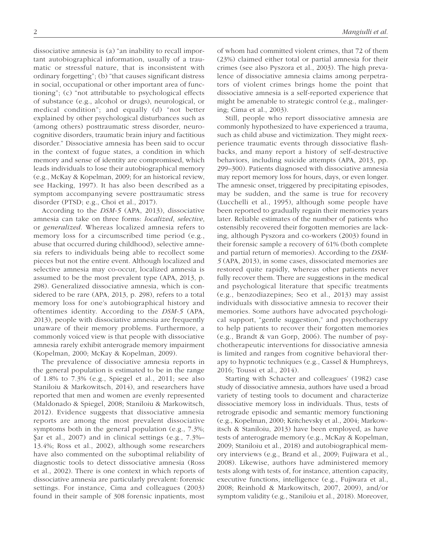dissociative amnesia is (a) "an inability to recall important autobiographical information, usually of a traumatic or stressful nature, that is inconsistent with ordinary forgetting"; (b) "that causes significant distress in social, occupational or other important area of functioning"; (c) "not attributable to psychological effects of substance (e.g., alcohol or drugs), neurological, or medical condition"; and equally (d) "not better explained by other psychological disturbances such as (among others) posttraumatic stress disorder, neurocognitive disorders, traumatic brain injury and factitious disorder." Dissociative amnesia has been said to occur in the context of fugue states, a condition in which memory and sense of identity are compromised, which leads individuals to lose their autobiographical memory (e.g., McKay & Kopelman, 2009; for an historical review, see Hacking, 1997). It has also been described as a symptom accompanying severe posttraumatic stress disorder (PTSD; e.g., Choi et al., 2017).

According to the *DSM-5* (APA, 2013), dissociative amnesia can take on three forms: *localized*, *selective*, or *generalized*. Whereas localized amnesia refers to memory loss for a circumscribed time period (e.g., abuse that occurred during childhood), selective amnesia refers to individuals being able to recollect some pieces but not the entire event. Although localized and selective amnesia may co-occur, localized amnesia is assumed to be the most prevalent type (APA, 2013, p. 298). Generalized dissociative amnesia, which is considered to be rare (APA, 2013, p. 298), refers to a total memory loss for one's autobiographical history and oftentimes identity. According to the *DSM-5* (APA, 2013), people with dissociative amnesia are frequently unaware of their memory problems. Furthermore, a commonly voiced view is that people with dissociative amnesia rarely exhibit anterograde memory impairment (Kopelman, 2000; McKay & Kopelman, 2009).

The prevalence of dissociative amnesia reports in the general population is estimated to be in the range of 1.8% to 7.3% (e.g., Spiegel et al., 2011; see also Staniloiu & Markowitsch, 2014), and researchers have reported that men and women are evenly represented (Maldonado & Spiegel, 2008; Staniloiu & Markowitsch, 2012). Evidence suggests that dissociative amnesia reports are among the most prevalent dissociative symptoms both in the general population (e.g., 7.3%; Şar et al., 2007) and in clinical settings (e.g., 7.3%– 13.4%; Ross et al., 2002), although some researchers have also commented on the suboptimal reliability of diagnostic tools to detect dissociative amnesia (Ross et al., 2002). There is one context in which reports of dissociative amnesia are particularly prevalent: forensic settings. For instance, Cima and colleagues (2003) found in their sample of 308 forensic inpatients, most

of whom had committed violent crimes, that 72 of them (23%) claimed either total or partial amnesia for their crimes (see also Pyszora et al., 2003). The high prevalence of dissociative amnesia claims among perpetrators of violent crimes brings home the point that dissociative amnesia is a self-reported experience that might be amenable to strategic control (e.g., malingering; Cima et al., 2003).

Still, people who report dissociative amnesia are commonly hypothesized to have experienced a trauma, such as child abuse and victimization. They might reexperience traumatic events through dissociative flashbacks, and many report a history of self-destructive behaviors, including suicide attempts (APA, 2013, pp. 299–300). Patients diagnosed with dissociative amnesia may report memory loss for hours, days, or even longer. The amnesic onset, triggered by precipitating episodes, may be sudden, and the same is true for recovery (Lucchelli et al., 1995), although some people have been reported to gradually regain their memories years later. Reliable estimates of the number of patients who ostensibly recovered their forgotten memories are lacking, although Pyszora and co-workers (2003) found in their forensic sample a recovery of 61% (both complete and partial return of memories). According to the *DSM-5* (APA, 2013), in some cases, dissociated memories are restored quite rapidly, whereas other patients never fully recover them. There are suggestions in the medical and psychological literature that specific treatments (e.g., benzodiazepines; Seo et al., 2013) may assist individuals with dissociative amnesia to recover their memories. Some authors have advocated psychological support, "gentle suggestion," and psychotherapy to help patients to recover their forgotten memories (e.g., Brandt & van Gorp, 2006). The number of psychotherapeutic interventions for dissociative amnesia is limited and ranges from cognitive behavioral therapy to hypnotic techniques (e.g., Cassel & Humphreys, 2016; Toussi et al., 2014).

Starting with Schacter and colleagues' (1982) case study of dissociative amnesia, authors have used a broad variety of testing tools to document and characterize dissociative memory loss in individuals. Thus, tests of retrograde episodic and semantic memory functioning (e.g., Kopelman, 2000; Kritchevsky et al., 2004; Markowitsch & Staniloiu, 2013) have been employed, as have tests of anterograde memory (e.g., McKay & Kopelman, 2009; Staniloiu et al., 2018) and autobiographical memory interviews (e.g., Brand et al., 2009; Fujiwara et al., 2008). Likewise, authors have administered memory tests along with tests of, for instance, attention capacity, executive functions, intelligence (e.g., Fujiwara et al., 2008; Reinhold & Markowitsch, 2007, 2009), and/or symptom validity (e.g., Staniloiu et al., 2018). Moreover,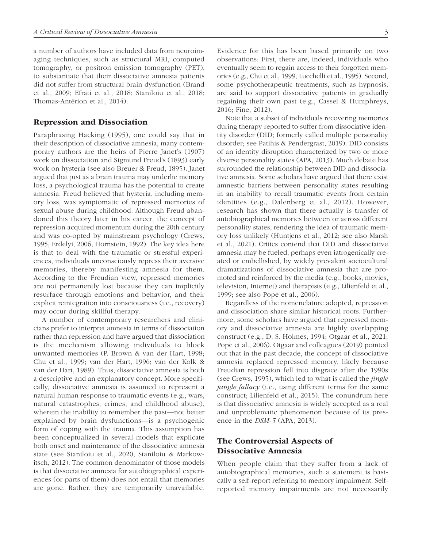a number of authors have included data from neuroimaging techniques, such as structural MRI, computed tomography, or positron emission tomography (PET), to substantiate that their dissociative amnesia patients did not suffer from structural brain dysfunction (Brand et al., 2009; Efrati et al., 2018; Staniloiu et al., 2018; Thomas-Antérion et al., 2014).

### Repression and Dissociation

Paraphrasing Hacking (1995), one could say that in their description of dissociative amnesia, many contemporary authors are the heirs of Pierre Janet's (1907) work on dissociation and Sigmund Freud's (1893) early work on hysteria (see also Breuer & Freud, 1895). Janet argued that just as a brain trauma may underlie memory loss, a psychological trauma has the potential to create amnesia. Freud believed that hysteria, including memory loss, was symptomatic of repressed memories of sexual abuse during childhood. Although Freud abandoned this theory later in his career, the concept of repression acquired momentum during the 20th century and was co-opted by mainstream psychology (Crews, 1995; Erdelyi, 2006; Hornstein, 1992). The key idea here is that to deal with the traumatic or stressful experiences, individuals unconsciously repress their aversive memories, thereby manifesting amnesia for them. According to the Freudian view, repressed memories are not permanently lost because they can implicitly resurface through emotions and behavior, and their explicit reintegration into consciousness (i.e., recovery) may occur during skillful therapy.

A number of contemporary researchers and clinicians prefer to interpret amnesia in terms of dissociation rather than repression and have argued that dissociation is the mechanism allowing individuals to block unwanted memories (P. Brown & van der Hart, 1998; Chu et al., 1999; van der Hart, 1996; van der Kolk & van der Hart, 1989). Thus, dissociative amnesia is both a descriptive and an explanatory concept. More specifically, dissociative amnesia is assumed to represent a natural human response to traumatic events (e.g., wars, natural catastrophes, crimes, and childhood abuse), wherein the inability to remember the past—not better explained by brain dysfunctions—is a psychogenic form of coping with the trauma. This assumption has been conceptualized in several models that explicate both onset and maintenance of the dissociative amnesia state (see Staniloiu et al., 2020; Staniloiu & Markowitsch, 2012). The common denominator of those models is that dissociative amnesia for autobiographical experiences (or parts of them) does not entail that memories are gone. Rather, they are temporarily unavailable.

Evidence for this has been based primarily on two observations: First, there are, indeed, individuals who eventually seem to regain access to their forgotten memories (e.g., Chu et al., 1999; Lucchelli et al., 1995). Second, some psychotherapeutic treatments, such as hypnosis, are said to support dissociative patients in gradually regaining their own past (e.g., Cassel & Humphreys, 2016; Fine, 2012).

Note that a subset of individuals recovering memories during therapy reported to suffer from dissociative identity disorder (DID; formerly called multiple personality disorder; see Patihis & Pendergrast, 2019). DID consists of an identity disruption characterized by two or more diverse personality states (APA, 2013). Much debate has surrounded the relationship between DID and dissociative amnesia. Some scholars have argued that there exist amnestic barriers between personality states resulting in an inability to recall traumatic events from certain identities (e.g., Dalenberg et al., 2012). However, research has shown that there actually is transfer of autobiographical memories between or across different personality states, rendering the idea of traumatic memory loss unlikely (Huntjens et al., 2012; see also Marsh et al., 2021). Critics contend that DID and dissociative amnesia may be fueled, perhaps even iatrogenically created or embellished, by widely prevalent sociocultural dramatizations of dissociative amnesia that are promoted and reinforced by the media (e.g., books, movies, television, Internet) and therapists (e.g., Lilienfeld et al., 1999; see also Pope et al., 2006).

Regardless of the nomenclature adopted, repression and dissociation share similar historical roots. Furthermore, some scholars have argued that repressed memory and dissociative amnesia are highly overlapping construct (e.g., D. S. Holmes, 1994; Otgaar et al., 2021; Pope et al., 2006). Otgaar and colleagues (2019) pointed out that in the past decade, the concept of dissociative amnesia replaced repressed memory, likely because Freudian repression fell into disgrace after the 1990s (see Crews, 1995), which led to what is called the *jingle jangle fallacy* (i.e., using different terms for the same construct; Lilienfeld et al., 2015). The conundrum here is that dissociative amnesia is widely accepted as a real and unproblematic phenomenon because of its presence in the *DSM-5* (APA, 2013).

### The Controversial Aspects of Dissociative Amnesia

When people claim that they suffer from a lack of autobiographical memories, such a statement is basically a self-report referring to memory impairment. Selfreported memory impairments are not necessarily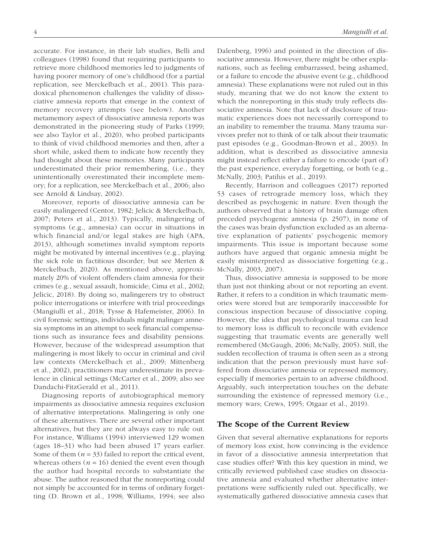accurate. For instance, in their lab studies, Belli and colleagues (1998) found that requiring participants to retrieve more childhood memories led to judgments of having poorer memory of one's childhood (for a partial replication, see Merckelbach et al., 2001). This paradoxical phenomenon challenges the validity of dissociative amnesia reports that emerge in the context of memory recovery attempts (see below). Another metamemory aspect of dissociative amnesia reports was demonstrated in the pioneering study of Parks (1999; see also Taylor et al., 2020), who probed participants to think of vivid childhood memories and then, after a short while, asked them to indicate how recently they had thought about these memories. Many participants underestimated their prior remembering, (i.e., they unintentionally overestimated their incomplete memory; for a replication, see Merckelbach et al., 2006; also see Arnold & Lindsay, 2002).

Moreover, reports of dissociative amnesia can be easily malingered (Centor, 1982; Jelicic & Merckelbach, 2007; Peters et al., 2013). Typically, malingering of symptoms (e.g., amnesia) can occur in situations in which financial and/or legal stakes are high (APA, 2013), although sometimes invalid symptom reports might be motivated by internal incentives (e.g., playing the sick role in factitious disorder; but see Merten & Merckelbach, 2020). As mentioned above, approximately 20% of violent offenders claim amnesia for their crimes (e.g., sexual assault, homicide; Cima et al., 2002; Jelicic, 2018). By doing so, malingerers try to obstruct police interrogations or interfere with trial proceedings (Mangiulli et al., 2018; Tysse & Hafemeister, 2006). In civil forensic settings, individuals might malinger amnesia symptoms in an attempt to seek financial compensations such as insurance fees and disability pensions. However, because of the widespread assumption that malingering is most likely to occur in criminal and civil law contexts (Merckelbach et al., 2009; Mittenberg et al., 2002), practitioners may underestimate its prevalence in clinical settings (McCarter et al., 2009; also see Dandachi-FitzGerald et al., 2011).

Diagnosing reports of autobiographical memory impairments as dissociative amnesia requires exclusion of alternative interpretations. Malingering is only one of these alternatives. There are several other important alternatives, but they are not always easy to rule out. For instance, Williams (1994) interviewed 129 women (ages 18–31) who had been abused 17 years earlier. Some of them  $(n = 33)$  failed to report the critical event, whereas others  $(n = 16)$  denied the event even though the author had hospital records to substantiate the abuse. The author reasoned that the nonreporting could not simply be accounted for in terms of ordinary forgetting (D. Brown et al., 1998; Williams, 1994; see also Dalenberg, 1996) and pointed in the direction of dissociative amnesia. However, there might be other explanations, such as feeling embarrassed, being ashamed, or a failure to encode the abusive event (e.g., childhood amnesia). These explanations were not ruled out in this study, meaning that we do not know the extent to which the nonreporting in this study truly reflects dissociative amnesia. Note that lack of disclosure of traumatic experiences does not necessarily correspond to an inability to remember the trauma. Many trauma survivors prefer not to think of or talk about their traumatic past episodes (e.g., Goodman-Brown et al., 2003). In addition, what is described as dissociative amnesia might instead reflect either a failure to encode (part of) the past experience, everyday forgetting, or both (e.g., McNally, 2003; Patihis et al., 2019).

Recently, Harrison and colleagues (2017) reported 53 cases of retrograde memory loss, which they described as psychogenic in nature. Even though the authors observed that a history of brain damage often preceded psychogenic amnesia (p. 2507), in none of the cases was brain dysfunction excluded as an alternative explanation of patients' psychogenic memory impairments. This issue is important because some authors have argued that organic amnesia might be easily misinterpreted as dissociative forgetting (e.g., McNally, 2003, 2007).

Thus, dissociative amnesia is supposed to be more than just not thinking about or not reporting an event. Rather, it refers to a condition in which traumatic memories were stored but are temporarily inaccessible for conscious inspection because of dissociative coping. However, the idea that psychological trauma can lead to memory loss is difficult to reconcile with evidence suggesting that traumatic events are generally well remembered (McGaugh, 2006; McNally, 2005). Still, the sudden recollection of trauma is often seen as a strong indication that the person previously must have suffered from dissociative amnesia or repressed memory, especially if memories pertain to an adverse childhood. Arguably, such interpretation touches on the debate surrounding the existence of repressed memory (i.e., memory wars; Crews, 1995; Otgaar et al., 2019).

### The Scope of the Current Review

Given that several alternative explanations for reports of memory loss exist, how convincing is the evidence in favor of a dissociative amnesia interpretation that case studies offer? With this key question in mind, we critically reviewed published case studies on dissociative amnesia and evaluated whether alternative interpretations were sufficiently ruled out. Specifically, we systematically gathered dissociative amnesia cases that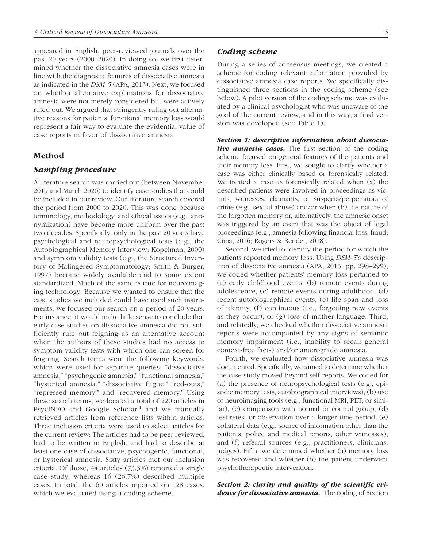appeared in English, peer-reviewed journals over the past 20 years (2000–2020). In doing so, we first determined whether the dissociative amnesia cases were in line with the diagnostic features of dissociative amnesia as indicated in the *DSM-5* (APA, 2013). Next, we focused on whether alternative explanations for dissociative amnesia were not merely considered but were actively ruled out. We argued that stringently ruling out alternative reasons for patients' functional memory loss would represent a fair way to evaluate the evidential value of case reports in favor of dissociative amnesia.

### Method

### *Sampling procedure*

A literature search was carried out (between November 2019 and March 2020) to identify case studies that could be included in our review. Our literature search covered the period from 2000 to 2020. This was done because terminology, methodology, and ethical issues (e.g., anonymization) have become more uniform over the past two decades. Specifically, only in the past 20 years have psychological and neuropsychological tests (e.g., the Autobiographical Memory Interview; Kopelman, 2000) and symptom validity tests (e.g., the Structured Inventory of Malingered Symptomatology; Smith & Burger, 1997) become widely available and to some extent standardized. Much of the same is true for neuroimaging technology. Because we wanted to ensure that the case studies we included could have used such instruments, we focused our search on a period of 20 years. For instance, it would make little sense to conclude that early case studies on dissociative amnesia did not sufficiently rule out feigning as an alternative account when the authors of these studies had no access to symptom validity tests with which one can screen for feigning. Search terms were the following keywords, which were used for separate queries: "dissociative amnesia," "psychogenic amnesia," "functional amnesia," "hysterical amnesia," "dissociative fugue," "red-outs," "repressed memory," and "recovered memory." Using these search terms, we located a total of 220 articles in PsycINFO and Google Scholar,<sup>1</sup> and we manually retrieved articles from reference lists within articles. Three inclusion criteria were used to select articles for the current review: The articles had to be peer reviewed, had to be written in English, and had to describe at least one case of dissociative, psychogenic, functional, or hysterical amnesia. Sixty articles met our inclusion criteria. Of those, 44 articles (73.3%) reported a single case study, whereas 16 (26.7%) described multiple cases. In total, the 60 articles reported on 128 cases, which we evaluated using a coding scheme.

#### *Coding scheme*

During a series of consensus meetings, we created a scheme for coding relevant information provided by dissociative amnesia case reports. We specifically distinguished three sections in the coding scheme (see below). A pilot version of the coding scheme was evaluated by a clinical psychologist who was unaware of the goal of the current review, and in this way, a final version was developed (see Table 1).

*Section 1: descriptive information about dissociative amnesia cases.* The first section of the coding scheme focused on general features of the patients and their memory loss. First, we sought to clarify whether a case was either clinically based or forensically related. We treated a case as forensically related when (a) the described patients were involved in proceedings as victims, witnesses, claimants, or suspects/perpetrators of crime (e.g., sexual abuse) and/or when (b) the nature of the forgotten memory or, alternatively, the amnesic onset was triggered by an event that was the object of legal proceedings (e.g., amnesia following financial loss, fraud; Cima, 2016; Rogers & Bender, 2018).

Second, we tried to identify the period for which the patients reported memory loss. Using *DSM-5*'s description of dissociative amnesia (APA, 2013, pp. 298–299), we coded whether patients' memory loss pertained to (a) early childhood events, (b) remote events during adolescence, (c) remote events during adulthood, (d) recent autobiographical events, (e) life span and loss of identity, (f) continuous (i.e., forgetting new events as they occur), or (g) loss of mother language. Third, and relatedly, we checked whether dissociative amnesia reports were accompanied by any signs of semantic memory impairment (i.e., inability to recall general context-free facts) and/or anterograde amnesia.

Fourth, we evaluated how dissociative amnesia was documented. Specifically, we aimed to determine whether the case study moved beyond self-reports. We coded for (a) the presence of neuropsychological tests (e.g., episodic memory tests, autobiographical interviews), (b) use of neuroimaging tools (e.g., functional MRI, PET, or similar), (c) comparison with normal or control group, (d) test-retest or observation over a longer time period, (e) collateral data (e.g., source of information other than the patients: police and medical reports, other witnesses), and (f) referral sources (e.g., practitioners, clinicians, judges). Fifth, we determined whether (a) memory loss was recovered and whether (b) the patient underwent psychotherapeutic intervention.

*Section 2: clarity and quality of the scientific evidence for dissociative amnesia.* The coding of Section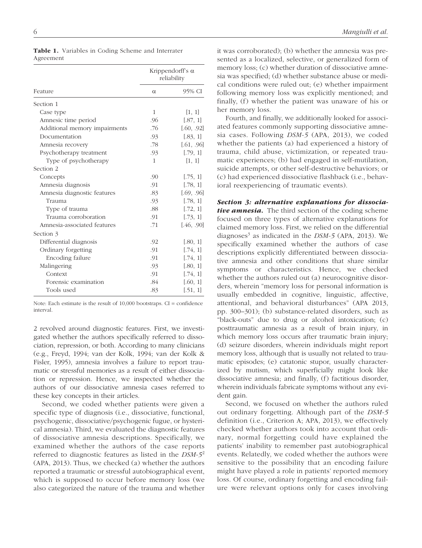| Feature                       | Krippendorff's $\alpha$<br>reliability |            |
|-------------------------------|----------------------------------------|------------|
|                               | $\alpha$                               | 95% CI     |
| Section 1                     |                                        |            |
| Case type                     | $\mathbf{1}$                           | [1, 1]     |
| Amnesic time period           | .96                                    | [.87, 1]   |
| Additional memory impairments | .76                                    | [.60, .92] |
| Documentation                 | .93                                    | [.83, 1]   |
| Amnesia recovery              | .78                                    | [.61, .96] |
| Psychotherapy treatment       | .93                                    | [.79, 1]   |
| Type of psychotherapy         | 1                                      | [1, 1]     |
| Section 2                     |                                        |            |
| Concepts                      | .90                                    | [.75, 1]   |
| Amnesia diagnosis             | .91                                    | [.78, 1]   |
| Amnesia diagnostic features   | .83                                    | [.69, .96] |
| Trauma                        | .93                                    | [.78, 1]   |
| Type of trauma                | .88                                    | [.72, 1]   |
| Trauma corroboration          | .91                                    | [.73, 1]   |
| Amnesia-associated features   | .71                                    | [.46, .90] |
| Section 3                     |                                        |            |
| Differential diagnosis        | .92                                    | [.80, 1]   |
| Ordinary forgetting           | .91                                    | [.74, 1]   |
| Encoding failure              | .91                                    | [.74, 1]   |
| Malingering                   | .93                                    | [.80, 1]   |
| Context                       | .91                                    | [.74, 1]   |
| Forensic examination          | .84                                    | [.60, 1]   |
| Tools used                    | .83                                    | [.51, 1]   |

Table 1. Variables in Coding Scheme and Interrater Agreement

Note: Each estimate is the result of 10,000 bootstraps. CI = confidence interval.

2 revolved around diagnostic features. First, we investigated whether the authors specifically referred to dissociation, repression, or both. According to many clinicians (e.g., Freyd, 1994; van der Kolk, 1994; van der Kolk & Fisler, 1995), amnesia involves a failure to report traumatic or stressful memories as a result of either dissociation or repression. Hence, we inspected whether the authors of our dissociative amnesia cases referred to these key concepts in their articles.

Second, we coded whether patients were given a specific type of diagnosis (i.e., dissociative, functional, psychogenic, dissociative/psychogenic fugue, or hysterical amnesia). Third, we evaluated the diagnostic features of dissociative amnesia descriptions. Specifically, we examined whether the authors of the case reports referred to diagnostic features as listed in the *DSM-5*<sup>2</sup> (APA, 2013). Thus, we checked (a) whether the authors reported a traumatic or stressful autobiographical event, which is supposed to occur before memory loss (we also categorized the nature of the trauma and whether it was corroborated); (b) whether the amnesia was presented as a localized, selective, or generalized form of memory loss; (c) whether duration of dissociative amnesia was specified; (d) whether substance abuse or medical conditions were ruled out; (e) whether impairment following memory loss was explicitly mentioned; and finally, (f) whether the patient was unaware of his or her memory loss.

Fourth, and finally, we additionally looked for associated features commonly supporting dissociative amnesia cases. Following *DSM-5* (APA, 2013), we coded whether the patients (a) had experienced a history of trauma, child abuse, victimization, or repeated traumatic experiences; (b) had engaged in self-mutilation, suicide attempts, or other self-destructive behaviors; or (c) had experienced dissociative flashback (i.e., behavioral reexperiencing of traumatic events).

*Section 3: alternative explanations for dissociative amnesia.* The third section of the coding scheme focused on three types of alternative explanations for claimed memory loss. First, we relied on the differential diagnoses<sup>3</sup> as indicated in the *DSM-5* (APA, 2013). We specifically examined whether the authors of case descriptions explicitly differentiated between dissociative amnesia and other conditions that share similar symptoms or characteristics. Hence, we checked whether the authors ruled out (a) neurocognitive disorders, wherein "memory loss for personal information is usually embedded in cognitive, linguistic, affective, attentional, and behavioral disturbances" (APA 2013, pp. 300–301); (b) substance-related disorders, such as "black-outs" due to drug or alcohol intoxication; (c) posttraumatic amnesia as a result of brain injury, in which memory loss occurs after traumatic brain injury; (d) seizure disorders, wherein individuals might report memory loss, although that is usually not related to traumatic episodes; (e) catatonic stupor, usually characterized by mutism, which superficially might look like dissociative amnesia; and finally, (f) factitious disorder, wherein individuals fabricate symptoms without any evident gain.

Second, we focused on whether the authors ruled out ordinary forgetting. Although part of the *DSM-5* definition (i.e., Criterion A; APA, 2013), we effectively checked whether authors took into account that ordinary, normal forgetting could have explained the patients' inability to remember past autobiographical events. Relatedly, we coded whether the authors were sensitive to the possibility that an encoding failure might have played a role in patients' reported memory loss. Of course, ordinary forgetting and encoding failure were relevant options only for cases involving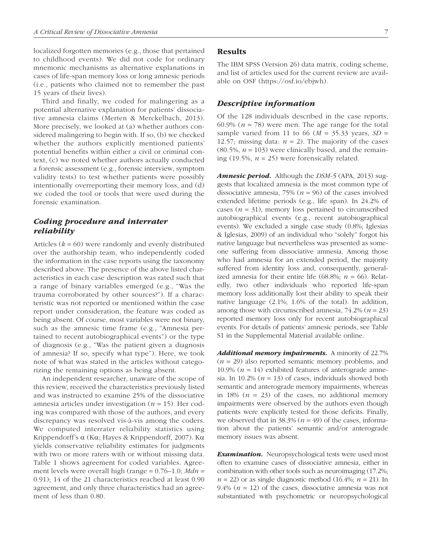localized forgotten memories (e.g., those that pertained to childhood events). We did not code for ordinary mnemonic mechanisms as alternative explanations in cases of life-span memory loss or long amnesic periods (i.e., patients who claimed not to remember the past 15 years of their lives).

Third and finally, we coded for malingering as a potential alternative explanation for patients' dissociative amnesia claims (Merten & Merckelbach, 2013). More precisely, we looked at (a) whether authors considered malingering to begin with. If so, (b) we checked whether the authors explicitly mentioned patients' potential benefits within either a civil or criminal context, (c) we noted whether authors actually conducted a forensic assessment (e.g., forensic interview, symptom validity tests) to test whether patients were possibly intentionally overreporting their memory loss, and (d) we coded the tool or tools that were used during the forensic examination.

### *Coding procedure and interrater reliability*

Articles (*k* = 60) were randomly and evenly distributed over the authorship team, who independently coded the information in the case reports using the taxonomy described above. The presence of the above listed characteristics in each case description was rated such that a range of binary variables emerged (e.g., "Was the trauma corroborated by other sources?"). If a characteristic was not reported or mentioned within the case report under consideration, the feature was coded as being absent. Of course, most variables were not binary, such as the amnesic time frame (e.g., "Amnesia pertained to recent autobiographical events") or the type of diagnosis (e.g., "Was the patient given a diagnosis of amnesia? If so, specify what type"). Here, we took note of what was stated in the articles without categorizing the remaining options as being absent.

An independent researcher, unaware of the scope of this review, received the characteristics previously listed and was instructed to examine 25% of the dissociative amnesia articles under investigation (*n* = 15). Her coding was compared with those of the authors, and every discrepancy was resolved vis-à-vis among the coders. We computed interrater reliability statistics using Krippendorff's α (Kα; Hayes & Krippendorff, 2007). Kα yields conservative reliability estimates for judgments with two or more raters with or without missing data. Table 1 shows agreement for coded variables. Agreement levels were overall high (range = 0.76–1.0; *Mdn* = 0.91); 14 of the 21 characteristics reached at least 0.90 agreement, and only three characteristics had an agreement of less than 0.80.

### **Results**

The IBM SPSS (Version 26) data matrix, coding scheme, and list of articles used for the current review are available on OSF ([https://osf.io/ebjwh\)](https://osf.io/ebjwh).

### *Descriptive information*

Of the 128 individuals described in the case reports, 60.9%  $(n = 78)$  were men. The age range for the total sample varied from 11 to 66 ( $M = 35.33$  years,  $SD =$ 12.57; missing data:  $n = 2$ ). The majority of the cases  $(80.5\%, n = 103)$  were clinically based, and the remaining (19.5%,  $n = 25$ ) were forensically related.

*Amnesic period.* Although the *DSM-5* (APA, 2013) suggests that localized amnesia is the most common type of dissociative amnesia,  $75\%$  ( $n = 96$ ) of the cases involved extended lifetime periods (e.g., life span). In 24.2% of cases  $(n = 31)$ , memory loss pertained to circumscribed autobiographical events (e.g., recent autobiographical events). We excluded a single case study (0.8%; Iglesias & Iglesias, 2009) of an individual who "solely" forgot his native language but nevertheless was presented as someone suffering from dissociative amnesia. Among those who had amnesia for an extended period, the majority suffered from identity loss and, consequently, generalized amnesia for their entire life (68.8%;  $n = 66$ ). Relatedly, two other individuals who reported life-span memory loss additionally lost their ability to speak their native language (2.1%; 1.6% of the total). In addition, among those with circumscribed amnesia, 74.2% (*n* = 23) reported memory loss only for recent autobiographical events. For details of patients' amnesic periods, see Table S1 in the Supplemental Material available online.

*Additional memory impairments.* A minority of 22.7% (*n* = 29) also reported semantic memory problems, and 10.9%  $(n = 14)$  exhibited features of anterograde amnesia. In 10.2%  $(n = 13)$  of cases, individuals showed both semantic and anterograde memory impairments, whereas in 18%  $(n = 23)$  of the cases, no additional memory impairments were observed by the authors even though patients were explicitly tested for those deficits. Finally, we observed that in  $38.3\%$  ( $n = 49$ ) of the cases, information about the patients' semantic and/or anterograde memory issues was absent.

**Examination.** Neuropsychological tests were used most often to examine cases of dissociative amnesia, either in combination with other tools such as neuroimaging (17.2%;  $n = 22$ ) or as single diagnostic method (16.4%;  $n = 21$ ). In 9.4%  $(n = 12)$  of the cases, dissociative amnesia was not substantiated with psychometric or neuropsychological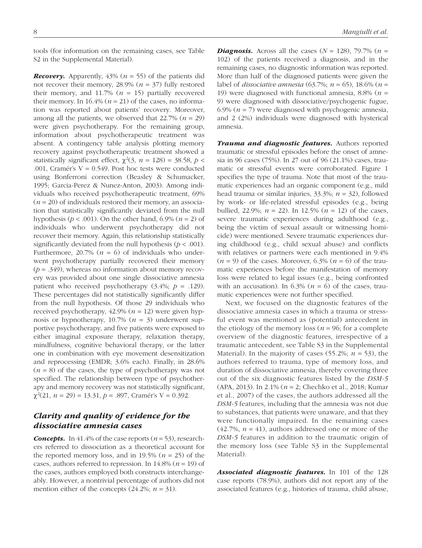tools (for information on the remaining cases, see Table S2 in the Supplemental Material).

*Recovery.* Apparently,  $43\%$  ( $n = 55$ ) of the patients did not recover their memory,  $28.9\%$  ( $n = 37$ ) fully restored their memory, and  $11.7\%$  ( $n = 15$ ) partially recovered their memory. In  $16.4\%$  ( $n = 21$ ) of the cases, no information was reported about patients' recovery. Moreover, among all the patients, we observed that  $22.7\%$  ( $n = 29$ ) were given psychotherapy. For the remaining group, information about psychotherapeutic treatment was absent. A contingency table analysis plotting memory recovery against psychotherapeutic treatment showed a statistically significant effect,  $\chi^2(3, n = 128) = 38.58, p <$ .001, Cramér's  $V = 0.549$ . Post hoc tests were conducted using Bonferroni correction (Beasley & Schumacker, 1995; Garcia-Perez & Nunez-Anton, 2003). Among individuals who received psychotherapeutic treatment, 69% (*n* = 20) of individuals restored their memory, an association that statistically significantly deviated from the null hypothesis ( $p < .001$ ). On the other hand, 6.9% ( $n = 2$ ) of individuals who underwent psychotherapy did not recover their memory. Again, this relationship statistically significantly deviated from the null hypothesis  $(p < .001)$ . Furthermore, 20.7% ( $n = 6$ ) of individuals who underwent psychotherapy partially recovered their memory  $(p = .349)$ , whereas no information about memory recovery was provided about one single dissociative amnesia patient who received psychotherapy  $(3.4\%; p = .129)$ . These percentages did not statistically significantly differ from the null hypothesis. Of those 29 individuals who received psychotherapy,  $42.9\%$  ( $n = 12$ ) were given hypnosis or hypnotherapy,  $10.7\%$  ( $n = 3$ ) underwent supportive psychotherapy, and five patients were exposed to either imaginal exposure therapy, relaxation therapy, mindfulness, cognitive behavioral therapy, or the latter one in combination with eye movement desensitization and reprocessing (EMDR; 3.6% each). Finally, in 28.6%  $(n = 8)$  of the cases, the type of psychotherapy was not specified. The relationship between type of psychotherapy and memory recovery was not statistically significant, χ2 (21, *n* = 29) = 13.31, *p* = .897, Cramér's V = 0.392.

### *Clarity and quality of evidence for the dissociative amnesia cases*

**Concepts.** In 41.4% of the case reports  $(n = 53)$ , researchers referred to dissociation as a theoretical account for the reported memory loss, and in 19.5%  $(n = 25)$  of the cases, authors referred to repression. In  $14.8\%$  ( $n = 19$ ) of the cases, authors employed both constructs interchangeably. However, a nontrivial percentage of authors did not mention either of the concepts  $(24.2\%; n = 31)$ .

*Diagnosis.* Across all the cases  $(N = 128)$ , 79.7%  $(n = 128)$ 102) of the patients received a diagnosis, and in the remaining cases, no diagnostic information was reported. More than half of the diagnosed patients were given the label of *dissociative amnesia* (63.7%; *n* = 65), 18.6% (*n* = 19) were diagnosed with functional amnesia, 8.8% (*n* = 9) were diagnosed with dissociative/psychogenic fugue, 6.9%  $(n = 7)$  were diagnosed with psychogenic amnesia, and 2 (2%) individuals were diagnosed with hysterical amnesia.

*Trauma and diagnostic features.* Authors reported traumatic or stressful episodes before the onset of amnesia in 96 cases (75%). In 27 out of 96 (21.1%) cases, traumatic or stressful events were corroborated. Figure 1 specifies the type of trauma. Note that most of the traumatic experiences had an organic component (e.g., mild head trauma or similar injuries, 33.3%; *n* = 32), followed by work- or life-related stressful episodes (e.g., being bullied, 22.9%;  $n = 22$ ). In 12.5% ( $n = 12$ ) of the cases, severe traumatic experiences during adulthood (e.g., being the victim of sexual assault or witnessing homicide) were mentioned. Severe traumatic experiences during childhood (e.g., child sexual abuse) and conflicts with relatives or partners were each mentioned in 9.4%  $(n = 9)$  of the cases. Moreover,  $6.3\%$   $(n = 6)$  of the traumatic experiences before the manifestation of memory loss were related to legal issues (e.g., being confronted with an accusation). In 6.3% ( $n = 6$ ) of the cases, traumatic experiences were not further specified.

Next, we focused on the diagnostic features of the dissociative amnesia cases in which a trauma or stressful event was mentioned as (potential) antecedent in the etiology of the memory loss ( $n = 96$ ; for a complete overview of the diagnostic features, irrespective of a traumatic antecedent, see Table S3 in the Supplemental Material). In the majority of cases (55.2%;  $n = 53$ ), the authors referred to trauma, type of memory loss, and duration of dissociative amnesia, thereby covering three out of the six diagnostic features listed by the *DSM-5* (APA, 2013). In 2.1% (*n* = 2; Chechko et al., 2018; Kumar et al., 2007) of the cases, the authors addressed all the *DSM-5* features, including that the amnesia was not due to substances, that patients were unaware, and that they were functionally impaired. In the remaining cases  $(42.7\%, n = 41)$ , authors addressed one or more of the *DSM-5* features in addition to the traumatic origin of the memory loss (see Table S3 in the Supplemental Material).

*Associated diagnostic features.* In 101 of the 128 case reports (78.9%), authors did not report any of the associated features (e.g., histories of trauma, child abuse,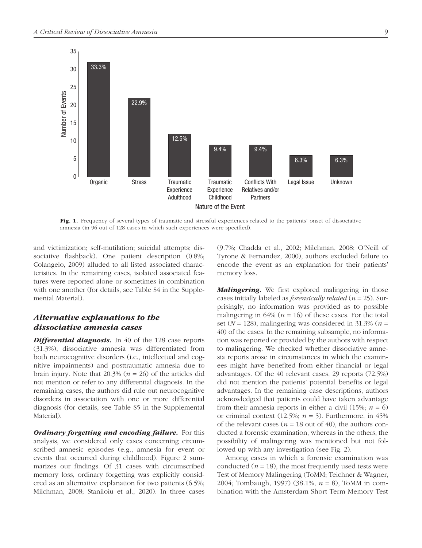

Fig. 1. Frequency of several types of traumatic and stressful experiences related to the patients' onset of dissociative amnesia (in 96 out of 128 cases in which such experiences were specified).

and victimization; self-mutilation; suicidal attempts; dissociative flashback). One patient description (0.8%; Colangelo, 2009) alluded to all listed associated characteristics. In the remaining cases, isolated associated features were reported alone or sometimes in combination with one another (for details, see Table S4 in the Supplemental Material).

### *Alternative explanations to the dissociative amnesia cases*

**Differential diagnosis.** In 40 of the 128 case reports (31.3%), dissociative amnesia was differentiated from both neurocognitive disorders (i.e., intellectual and cognitive impairments) and posttraumatic amnesia due to brain injury. Note that 20.3% (*n* = 26) of the articles did not mention or refer to any differential diagnosis. In the remaining cases, the authors did rule out neurocognitive disorders in association with one or more differential diagnosis (for details, see Table S5 in the Supplemental Material).

*Ordinary forgetting and encoding failure.* For this analysis, we considered only cases concerning circumscribed amnesic episodes (e.g., amnesia for event or events that occurred during childhood). Figure 2 summarizes our findings. Of 31 cases with circumscribed memory loss, ordinary forgetting was explicitly considered as an alternative explanation for two patients (6.5%; Milchman, 2008; Staniloiu et al., 2020). In three cases (9.7%; Chadda et al., 2002; Milchman, 2008; O'Neill of Tyrone & Fernandez, 2000), authors excluded failure to encode the event as an explanation for their patients' memory loss.

*Malingering.* We first explored malingering in those cases initially labeled as *forensically related* (*n* = 25). Surprisingly, no information was provided as to possible malingering in  $64\%$  ( $n = 16$ ) of these cases. For the total set ( $N = 128$ ), malingering was considered in 31.3% ( $n =$ 40) of the cases. In the remaining subsample, no information was reported or provided by the authors with respect to malingering. We checked whether dissociative amnesia reports arose in circumstances in which the examinees might have benefited from either financial or legal advantages. Of the 40 relevant cases, 29 reports (72.5%) did not mention the patients' potential benefits or legal advantages. In the remaining case descriptions, authors acknowledged that patients could have taken advantage from their amnesia reports in either a civil  $(15\%; n = 6)$ or criminal context  $(12.5\%; n = 5)$ . Furthermore, in 45% of the relevant cases ( $n = 18$  out of 40), the authors conducted a forensic examination, whereas in the others, the possibility of malingering was mentioned but not followed up with any investigation (see Fig. 2).

Among cases in which a forensic examination was conducted  $(n = 18)$ , the most frequently used tests were Test of Memory Malingering (ToMM; Teichner & Wagner, 2004; Tombaugh, 1997) (38.1%, *n* = 8), ToMM in combination with the Amsterdam Short Term Memory Test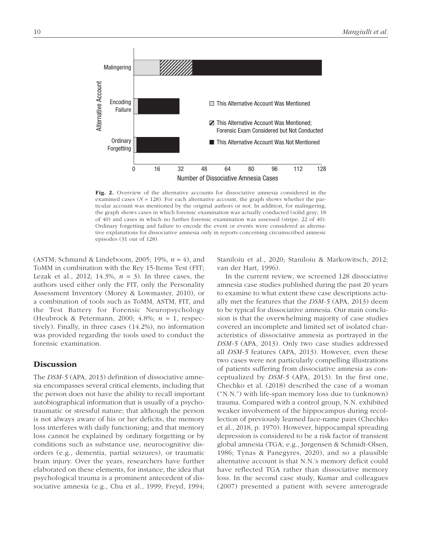

Fig. 2. Overview of the alternative accounts for dissociative amnesia considered in the examined cases ( $N = 128$ ). For each alternative account, the graph shows whether the particular account was mentioned by the original authors or not. In addition, for malingering, the graph shows cases in which forensic examination was actually conducted (solid gray; 18 of 40) and cases in which no further forensic examination was assessed (stripe; 22 of 40). Ordinary forgetting and failure to encode the event or events were considered as alternative explanations for dissociative amnesia only in reports concerning circumscribed amnesic episodes (31 out of 128).

(ASTM; Schmand & Lindeboom, 2005; 19%, *n* = 4), and ToMM in combination with the Rey 15-Items Test (FIT; Lezak et al., 2012; 14.3%, *n* = 3). In three cases, the authors used either only the FIT, only the Personality Assessment Inventory (Morey & Lowmaster, 2010), or a combination of tools such as ToMM, ASTM, FIT, and the Test Battery for Forensic Neuropsychology (Heubrock & Petermann, 2000; 4.8%; *n* = 1, respectively). Finally, in three cases (14.2%), no information was provided regarding the tools used to conduct the forensic examination.

### **Discussion**

The *DSM-5* (APA, 2013) definition of dissociative amnesia encompasses several critical elements, including that the person does not have the ability to recall important autobiographical information that is usually of a psychotraumatic or stressful nature; that although the person is not always aware of his or her deficits, the memory loss interferes with daily functioning; and that memory loss cannot be explained by ordinary forgetting or by conditions such as substance use, neurocognitive disorders (e.g., dementia, partial seizures), or traumatic brain injury. Over the years, researchers have further elaborated on these elements, for instance, the idea that psychological trauma is a prominent antecedent of dissociative amnesia (e.g., Chu et al., 1999; Freyd, 1994; Staniloiu et al., 2020; Staniloiu & Markowitsch, 2012; van der Hart, 1996).

In the current review, we screened 128 dissociative amnesia case studies published during the past 20 years to examine to what extent these case descriptions actually met the features that the *DSM-5* (APA, 2013) deem to be typical for dissociative amnesia. Our main conclusion is that the overwhelming majority of case studies covered an incomplete and limited set of isolated characteristics of dissociative amnesia as portrayed in the *DSM-5* (APA, 2013). Only two case studies addressed all *DSM-5* features (APA, 2013). However, even these two cases were not particularly compelling illustrations of patients suffering from dissociative amnesia as conceptualized by *DSM-5* (APA, 2013). In the first one, Chechko et al. (2018) described the case of a woman ("N.N.") with life-span memory loss due to (unknown) trauma. Compared with a control group, N.N. exhibited weaker involvement of the hippocampus during recollection of previously learned face-name pairs (Chechko et al., 2018, p. 1970). However, hippocampal spreading depression is considered to be a risk factor of transient global amnesia (TGA; e.g., Jørgensen & Schmidt-Olsen, 1986; Tynas & Panegyres, 2020), and so a plausible alternative account is that N.N.'s memory deficit could have reflected TGA rather than dissociative memory loss. In the second case study, Kumar and colleagues (2007) presented a patient with severe anterograde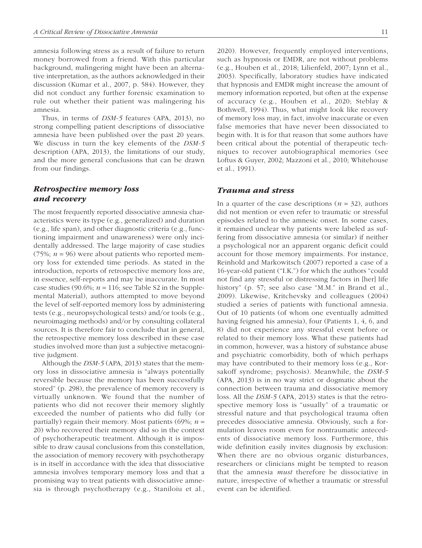amnesia following stress as a result of failure to return money borrowed from a friend. With this particular background, malingering might have been an alternative interpretation, as the authors acknowledged in their discussion (Kumar et al., 2007, p. 584). However, they did not conduct any further forensic examination to rule out whether their patient was malingering his amnesia.

Thus, in terms of *DSM-5* features (APA, 2013), no strong compelling patient descriptions of dissociative amnesia have been published over the past 20 years. We discuss in turn the key elements of the *DSM-5* description (APA, 2013), the limitations of our study, and the more general conclusions that can be drawn from our findings.

### *Retrospective memory loss and recovery*

The most frequently reported dissociative amnesia characteristics were its type (e.g., generalized) and duration (e.g., life span), and other diagnostic criteria (e.g., functioning impairment and unawareness) were only incidentally addressed. The large majority of case studies (75%;  $n = 96$ ) were about patients who reported memory loss for extended time periods. As stated in the introduction, reports of retrospective memory loss are, in essence, self-reports and may be inaccurate. In most case studies (90.6%;  $n = 116$ ; see Table S2 in the Supplemental Material), authors attempted to move beyond the level of self-reported memory loss by administering tests (e.g., neuropsychological tests) and/or tools (e.g., neuroimaging methods) and/or by consulting collateral sources. It is therefore fair to conclude that in general, the retrospective memory loss described in these case studies involved more than just a subjective metacognitive judgment.

Although the *DSM-5* (APA, 2013) states that the memory loss in dissociative amnesia is "always potentially reversible because the memory has been successfully stored" (p. 298), the prevalence of memory recovery is virtually unknown. We found that the number of patients who did not recover their memory slightly exceeded the number of patients who did fully (or partially) regain their memory. Most patients (69%; *n* = 20) who recovered their memory did so in the context of psychotherapeutic treatment. Although it is impossible to draw causal conclusions from this constellation, the association of memory recovery with psychotherapy is in itself in accordance with the idea that dissociative amnesia involves temporary memory loss and that a promising way to treat patients with dissociative amnesia is through psychotherapy (e.g., Staniloiu et al., 2020). However, frequently employed interventions, such as hypnosis or EMDR, are not without problems (e.g., Houben et al., 2018; Lilienfeld, 2007; Lynn et al., 2003). Specifically, laboratory studies have indicated that hypnosis and EMDR might increase the amount of memory information reported, but often at the expense of accuracy (e.g., Houben et al., 2020; Steblay & Bothwell, 1994). Thus, what might look like recovery of memory loss may, in fact, involve inaccurate or even false memories that have never been dissociated to begin with. It is for that reason that some authors have been critical about the potential of therapeutic techniques to recover autobiographical memories (see Loftus & Guyer, 2002; Mazzoni et al., 2010; Whitehouse et al., 1991).

### *Trauma and stress*

In a quarter of the case descriptions  $(n = 32)$ , authors did not mention or even refer to traumatic or stressful episodes related to the amnesic onset. In some cases, it remained unclear why patients were labeled as suffering from dissociative amnesia (or similar) if neither a psychological nor an apparent organic deficit could account for those memory impairments. For instance, Reinhold and Markowitsch (2007) reported a case of a 16-year-old patient ("I.K.") for which the authors "could not find any stressful or distressing factors in [her] life history" (p. 57; see also case "M.M." in Brand et al., 2009). Likewise, Kritchevsky and colleagues (2004) studied a series of patients with functional amnesia. Out of 10 patients (of whom one eventually admitted having feigned his amnesia), four (Patients 1, 4, 6, and 8) did not experience any stressful event before or related to their memory loss. What these patients had in common, however, was a history of substance abuse and psychiatric comorbidity, both of which perhaps may have contributed to their memory loss (e.g., Korsakoff syndrome; psychosis). Meanwhile, the *DSM-5* (APA, 2013) is in no way strict or dogmatic about the connection between trauma and dissociative memory loss. All the *DSM-5* (APA, 2013) states is that the retrospective memory loss is "usually" of a traumatic or stressful nature and that psychological trauma often precedes dissociative amnesia. Obviously, such a formulation leaves room even for nontraumatic antecedents of dissociative memory loss. Furthermore, this wide definition easily invites diagnosis by exclusion: When there are no obvious organic disturbances, researchers or clinicians might be tempted to reason that the amnesia *must* therefore be dissociative in nature, irrespective of whether a traumatic or stressful event can be identified.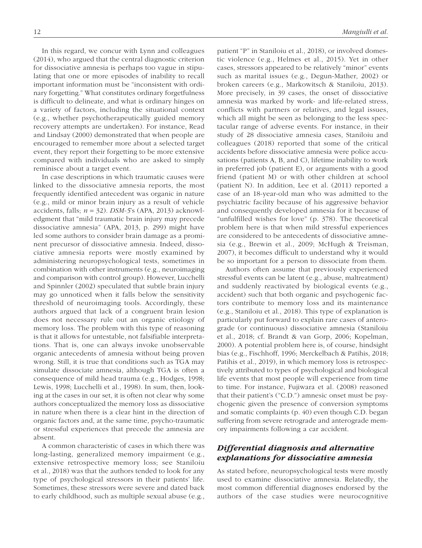In this regard, we concur with Lynn and colleagues (2014), who argued that the central diagnostic criterion for dissociative amnesia is perhaps too vague in stipulating that one or more episodes of inability to recall important information must be "inconsistent with ordinary forgetting." What constitutes ordinary forgetfulness is difficult to delineate, and what is ordinary hinges on a variety of factors, including the situational context (e.g., whether psychotherapeutically guided memory recovery attempts are undertaken). For instance, Read and Lindsay (2000) demonstrated that when people are encouraged to remember more about a selected target event, they report their forgetting to be more extensive compared with individuals who are asked to simply reminisce about a target event.

In case descriptions in which traumatic causes were linked to the dissociative amnesia reports, the most frequently identified antecedent was organic in nature (e.g., mild or minor brain injury as a result of vehicle accidents, falls; *n* = 32). *DSM-5*'s (APA, 2013) acknowledgment that "mild traumatic brain injury may precede dissociative amnesia" (APA, 2013, p. 299) might have led some authors to consider brain damage as a prominent precursor of dissociative amnesia. Indeed, dissociative amnesia reports were mostly examined by administering neuropsychological tests, sometimes in combination with other instruments (e.g., neuroimaging and comparison with control group). However, Lucchelli and Spinnler (2002) speculated that subtle brain injury may go unnoticed when it falls below the sensitivity threshold of neuroimaging tools. Accordingly, these authors argued that lack of a congruent brain lesion does not necessary rule out an organic etiology of memory loss. The problem with this type of reasoning is that it allows for untestable, not falsifiable interpretations. That is, one can always invoke unobservable organic antecedents of amnesia without being proven wrong. Still, it is true that conditions such as TGA may simulate dissociate amnesia, although TGA is often a consequence of mild head trauma (e.g., Hodges, 1998; Lewis, 1998; Lucchelli et al., 1998). In sum, then, looking at the cases in our set, it is often not clear why some authors conceptualized the memory loss as dissociative in nature when there is a clear hint in the direction of organic factors and, at the same time, psycho-traumatic or stressful experiences that precede the amnesia are absent.

A common characteristic of cases in which there was long-lasting, generalized memory impairment (e.g., extensive retrospective memory loss; see Staniloiu et al., 2018) was that the authors tended to look for any type of psychological stressors in their patients' life. Sometimes, these stressors were severe and dated back to early childhood, such as multiple sexual abuse (e.g., patient "P" in Staniloiu et al., 2018), or involved domestic violence (e.g., Helmes et al., 2015). Yet in other cases, stressors appeared to be relatively "minor" events such as marital issues (e.g., Degun-Mather, 2002) or broken careers (e.g., Markowitsch & Staniloiu, 2013). More precisely, in 39 cases, the onset of dissociative amnesia was marked by work- and life-related stress, conflicts with partners or relatives, and legal issues, which all might be seen as belonging to the less spectacular range of adverse events. For instance, in their study of 28 dissociative amnesia cases, Staniloiu and colleagues (2018) reported that some of the critical accidents before dissociative amnesia were police accusations (patients A, B, and C), lifetime inability to work in preferred job (patient E), or arguments with a good friend (patient M) or with other children at school (patient N). In addition, Lee et al. (2011) reported a case of an 18-year-old man who was admitted to the psychiatric facility because of his aggressive behavior and consequently developed amnesia for it because of "unfulfilled wishes for love" (p. 378). The theoretical problem here is that when mild stressful experiences are considered to be antecedents of dissociative amnesia (e.g., Brewin et al., 2009; McHugh & Treisman, 2007), it becomes difficult to understand why it would be so important for a person to dissociate from them.

Authors often assume that previously experienced stressful events can be latent (e.g., abuse, maltreatment) and suddenly reactivated by biological events (e.g., accident) such that both organic and psychogenic factors contribute to memory loss and its maintenance (e.g., Staniloiu et al., 2018). This type of explanation is particularly put forward to explain rare cases of anterograde (or continuous) dissociative amnesia (Staniloiu et al., 2018; cf. Brandt & van Gorp, 2006; Kopelman, 2000). A potential problem here is, of course, hindsight bias (e.g., Fischhoff, 1996; Merckelbach & Patihis, 2018; Patihis et al., 2019), in which memory loss is retrospectively attributed to types of psychological and biological life events that most people will experience from time to time. For instance, Fujiwara et al. (2008) reasoned that their patient's ("C.D.") amnesic onset must be psychogenic given the presence of conversion symptoms and somatic complaints (p. 40) even though C.D. began suffering from severe retrograde and anterograde memory impairments following a car accident.

### *Differential diagnosis and alternative explanations for dissociative amnesia*

As stated before, neuropsychological tests were mostly used to examine dissociative amnesia. Relatedly, the most common differential diagnoses endorsed by the authors of the case studies were neurocognitive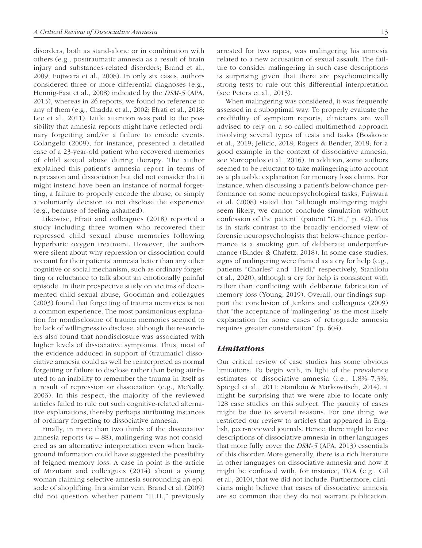disorders, both as stand-alone or in combination with others (e.g., posttraumatic amnesia as a result of brain injury and substances-related disorders; Brand et al., 2009; Fujiwara et al., 2008). In only six cases, authors considered three or more differential diagnoses (e.g., Hennig-Fast et al., 2008) indicated by the *DSM-5* (APA, 2013), whereas in 26 reports, we found no reference to any of them (e.g., Chadda et al., 2002; Efrati et al., 2018; Lee et al., 2011). Little attention was paid to the possibility that amnesia reports might have reflected ordinary forgetting and/or a failure to encode events. Colangelo (2009), for instance, presented a detailed case of a 23-year-old patient who recovered memories of child sexual abuse during therapy. The author explained this patient's amnesia report in terms of repression and dissociation but did not consider that it might instead have been an instance of normal forgetting, a failure to properly encode the abuse, or simply a voluntarily decision to not disclose the experience (e.g., because of feeling ashamed).

Likewise, Efrati and colleagues (2018) reported a study including three women who recovered their repressed child sexual abuse memories following hyperbaric oxygen treatment. However, the authors were silent about why repression or dissociation could account for their patients' amnesia better than any other cognitive or social mechanism, such as ordinary forgetting or reluctance to talk about an emotionally painful episode. In their prospective study on victims of documented child sexual abuse, Goodman and colleagues (2003) found that forgetting of trauma memories is not a common experience. The most parsimonious explanation for nondisclosure of trauma memories seemed to be lack of willingness to disclose, although the researchers also found that nondisclosure was associated with higher levels of dissociative symptoms. Thus, most of the evidence adduced in support of (traumatic) dissociative amnesia could as well be reinterpreted as normal forgetting or failure to disclose rather than being attributed to an inability to remember the trauma in itself as a result of repression or dissociation (e.g., McNally, 2003). In this respect, the majority of the reviewed articles failed to rule out such cognitive-related alternative explanations, thereby perhaps attributing instances of ordinary forgetting to dissociative amnesia.

Finally, in more than two thirds of the dissociative amnesia reports ( $n = 88$ ), malingering was not considered as an alternative interpretation even when background information could have suggested the possibility of feigned memory loss. A case in point is the article of Mizutani and colleagues (2014) about a young woman claiming selective amnesia surrounding an episode of shoplifting. In a similar vein, Brand et al. (2009) did not question whether patient "H.H.," previously arrested for two rapes, was malingering his amnesia related to a new accusation of sexual assault. The failure to consider malingering in such case descriptions is surprising given that there are psychometrically strong tests to rule out this differential interpretation (see Peters et al., 2013).

When malingering was considered, it was frequently assessed in a suboptimal way. To properly evaluate the credibility of symptom reports, clinicians are well advised to rely on a so-called multimethod approach involving several types of tests and tasks (Boskovic et al., 2019; Jelicic, 2018; Rogers & Bender, 2018; for a good example in the context of dissociative amnesia, see Marcopulos et al., 2016). In addition, some authors seemed to be reluctant to take malingering into account as a plausible explanation for memory loss claims. For instance, when discussing a patient's below-chance performance on some neuropsychological tasks, Fujiwara et al. (2008) stated that "although malingering might seem likely, we cannot conclude simulation without confession of the patient" (patient "G.H.," p. 42). This is in stark contrast to the broadly endorsed view of forensic neuropsychologists that below-chance performance is a smoking gun of deliberate underperformance (Binder & Chafetz, 2018). In some case studies, signs of malingering were framed as a cry for help (e.g., patients "Charles" and "Heidi," respectively, Staniloiu et al., 2020), although a cry for help is consistent with rather than conflicting with deliberate fabrication of memory loss (Young, 2019). Overall, our findings support the conclusion of Jenkins and colleagues (2009) that "the acceptance of 'malingering' as the most likely explanation for some cases of retrograde amnesia requires greater consideration" (p. 604).

### *Limitations*

Our critical review of case studies has some obvious limitations. To begin with, in light of the prevalence estimates of dissociative amnesia (i.e., 1.8%–7.3%; Spiegel et al., 2011; Staniloiu & Markowitsch, 2014), it might be surprising that we were able to locate only 128 case studies on this subject. The paucity of cases might be due to several reasons. For one thing, we restricted our review to articles that appeared in English, peer-reviewed journals. Hence, there might be case descriptions of dissociative amnesia in other languages that more fully cover the *DSM-5* (APA, 2013) essentials of this disorder. More generally, there is a rich literature in other languages on dissociative amnesia and how it might be confused with, for instance, TGA (e.g., Gil et al., 2010), that we did not include. Furthermore, clinicians might believe that cases of dissociative amnesia are so common that they do not warrant publication.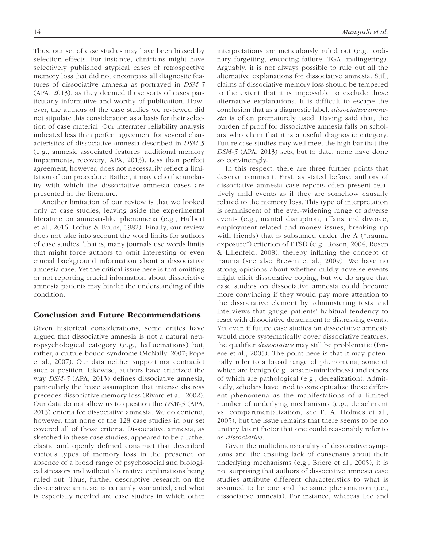Thus, our set of case studies may have been biased by selection effects. For instance, clinicians might have selectively published atypical cases of retrospective memory loss that did not encompass all diagnostic features of dissociative amnesia as portrayed in *DSM-5* (APA, 2013), as they deemed these sorts of cases particularly informative and worthy of publication. However, the authors of the case studies we reviewed did not stipulate this consideration as a basis for their selection of case material. Our interrater reliability analysis indicated less than perfect agreement for several characteristics of dissociative amnesia described in *DSM-5* (e.g., amnesic associated features, additional memory impairments, recovery; APA, 2013). Less than perfect agreement, however, does not necessarily reflect a limitation of our procedure. Rather, it may echo the unclarity with which the dissociative amnesia cases are presented in the literature.

Another limitation of our review is that we looked only at case studies, leaving aside the experimental literature on amnesia-like phenomena (e.g., Hulbert et al., 2016; Loftus & Burns, 1982). Finally, our review does not take into account the word limits for authors of case studies. That is, many journals use words limits that might force authors to omit interesting or even crucial background information about a dissociative amnesia case. Yet the critical issue here is that omitting or not reporting crucial information about dissociative amnesia patients may hinder the understanding of this condition.

### Conclusion and Future Recommendations

Given historical considerations, some critics have argued that dissociative amnesia is not a natural neuropsychological category (e.g., hallucinations) but, rather, a culture-bound syndrome (McNally, 2007; Pope et al., 2007). Our data neither support nor contradict such a position. Likewise, authors have criticized the way *DSM-5* (APA, 2013) defines dissociative amnesia, particularly the basic assumption that intense distress precedes dissociative memory loss (Rivard et al., 2002). Our data do not allow us to question the *DSM-5* (APA, 2013) criteria for dissociative amnesia. We do contend, however, that none of the 128 case studies in our set covered all of those criteria. Dissociative amnesia, as sketched in these case studies, appeared to be a rather elastic and openly defined construct that described various types of memory loss in the presence or absence of a broad range of psychosocial and biological stressors and without alternative explanations being ruled out. Thus, further descriptive research on the dissociative amnesia is certainly warranted, and what is especially needed are case studies in which other interpretations are meticulously ruled out (e.g., ordinary forgetting, encoding failure, TGA, malingering). Arguably, it is not always possible to rule out all the alternative explanations for dissociative amnesia. Still, claims of dissociative memory loss should be tempered to the extent that it is impossible to exclude these alternative explanations. It is difficult to escape the conclusion that as a diagnostic label, *dissociative amnesia* is often prematurely used. Having said that, the burden of proof for dissociative amnesia falls on scholars who claim that it is a useful diagnostic category. Future case studies may well meet the high bar that the *DSM-5* (APA, 2013) sets, but to date, none have done so convincingly.

In this respect, there are three further points that deserve comment. First, as stated before, authors of dissociative amnesia case reports often present relatively mild events as if they are somehow causally related to the memory loss. This type of interpretation is reminiscent of the ever-widening range of adverse events (e.g., marital disruption, affairs and divorce, employment-related and money issues, breaking up with friends) that is subsumed under the A ("trauma exposure") criterion of PTSD (e.g., Rosen, 2004; Rosen & Lilienfeld, 2008), thereby inflating the concept of trauma (see also Brewin et al., 2009). We have no strong opinions about whether mildly adverse events might elicit dissociative coping, but we do argue that case studies on dissociative amnesia could become more convincing if they would pay more attention to the dissociative element by administering tests and interviews that gauge patients' habitual tendency to react with dissociative detachment to distressing events. Yet even if future case studies on dissociative amnesia would more systematically cover dissociative features, the qualifier *dissociative* may still be problematic (Briere et al., 2005). The point here is that it may potentially refer to a broad range of phenomena, some of which are benign (e.g., absent-mindedness) and others of which are pathological (e.g., derealization). Admittedly, scholars have tried to conceptualize these different phenomena as the manifestations of a limited number of underlying mechanisms (e.g., detachment vs. compartmentalization; see E. A. Holmes et al., 2005), but the issue remains that there seems to be no unitary latent factor that one could reasonably refer to as *dissociative*.

Given the multidimensionality of dissociative symptoms and the ensuing lack of consensus about their underlying mechanisms (e.g., Briere et al., 2005), it is not surprising that authors of dissociative amnesia case studies attribute different characteristics to what is assumed to be one and the same phenomenon (i.e., dissociative amnesia). For instance, whereas Lee and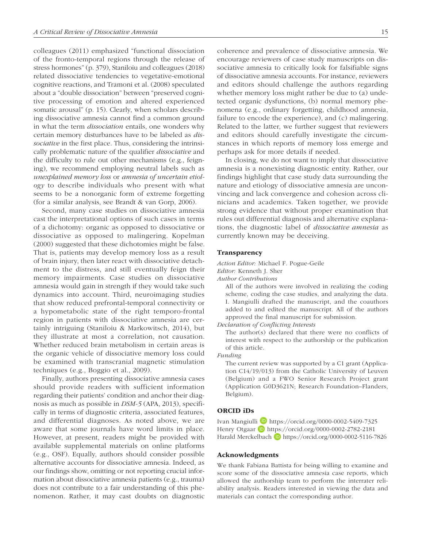colleagues (2011) emphasized "functional dissociation of the fronto-temporal regions through the release of stress hormones" (p. 379), Staniloiu and colleagues (2018) related dissociative tendencies to vegetative-emotional cognitive reactions, and Tramoni et al. (2008) speculated about a "double dissociation" between "preserved cognitive processing of emotion and altered experienced somatic arousal" (p. 15). Clearly, when scholars describing dissociative amnesia cannot find a common ground in what the term *dissociation* entails, one wonders why certain memory disturbances have to be labeled as *dissociative* in the first place. Thus, considering the intrinsically problematic nature of the qualifier *dissociative* and the difficulty to rule out other mechanisms (e.g., feigning), we recommend employing neutral labels such as *unexplained memory loss* or *amnesia of uncertain etiology* to describe individuals who present with what seems to be a nonorganic form of extreme forgetting (for a similar analysis, see Brandt & van Gorp, 2006).

Second, many case studies on dissociative amnesia cast the interpretational options of such cases in terms of a dichotomy: organic as opposed to dissociative or dissociative as opposed to malingering. Kopelman (2000) suggested that these dichotomies might be false. That is, patients may develop memory loss as a result of brain injury, then later react with dissociative detachment to the distress, and still eventually feign their memory impairments. Case studies on dissociative amnesia would gain in strength if they would take such dynamics into account. Third, neuroimaging studies that show reduced prefrontal-temporal connectivity or a hypometabolic state of the right temporo-frontal region in patients with dissociative amnesia are certainly intriguing (Staniloiu & Markowitsch, 2014), but they illustrate at most a correlation, not causation. Whether reduced brain metabolism in certain areas is the organic vehicle of dissociative memory loss could be examined with transcranial magnetic stimulation techniques (e.g., Boggio et al., 2009).

Finally, authors presenting dissociative amnesia cases should provide readers with sufficient information regarding their patients' condition and anchor their diagnosis as much as possible in *DSM-5* (APA, 2013), specifically in terms of diagnostic criteria, associated features, and differential diagnoses. As noted above, we are aware that some journals have word limits in place. However, at present, readers might be provided with available supplemental materials on online platforms (e.g., OSF). Equally, authors should consider possible alternative accounts for dissociative amnesia. Indeed, as our findings show, omitting or not reporting crucial information about dissociative amnesia patients (e.g., trauma) does not contribute to a fair understanding of this phenomenon. Rather, it may cast doubts on diagnostic coherence and prevalence of dissociative amnesia. We encourage reviewers of case study manuscripts on dissociative amnesia to critically look for falsifiable signs of dissociative amnesia accounts. For instance, reviewers and editors should challenge the authors regarding whether memory loss might rather be due to (a) undetected organic dysfunctions, (b) normal memory phenomena (e.g., ordinary forgetting, childhood amnesia, failure to encode the experience), and (c) malingering. Related to the latter, we further suggest that reviewers and editors should carefully investigate the circumstances in which reports of memory loss emerge and perhaps ask for more details if needed.

In closing, we do not want to imply that dissociative amnesia is a nonexisting diagnostic entity. Rather, our findings highlight that case study data surrounding the nature and etiology of dissociative amnesia are unconvincing and lack convergence and cohesion across clinicians and academics. Taken together, we provide strong evidence that without proper examination that rules out differential diagnosis and alternative explanations, the diagnostic label of *dissociative amnesia* as currently known may be deceiving.

#### Transparency

*Action Editor:* Michael F. Pogue-Geile

*Editor:* Kenneth J. Sher

*Author Contributions*

All of the authors were involved in realizing the coding scheme, coding the case studies, and analyzing the data. I. Mangiulli drafted the manuscript, and the coauthors added to and edited the manuscript. All of the authors approved the final manuscript for submission.

*Declaration of Conflicting Interests*

The author(s) declared that there were no conflicts of interest with respect to the authorship or the publication of this article.

*Funding*

The current review was supported by a C1 grant (Application C14/19/013) from the Catholic University of Leuven (Belgium) and a FWO Senior Research Project grant (Application G0D3621N; Research Foundation–Flanders, Belgium).

### ORCID iDs

Ivan Mangiulli D <https://orcid.org/0000-0002-5409-7325> Henry Otgaar **b** <https://orcid.org/0000-0002-2782-2181> Harald Merckelbach D <https://orcid.org/0000-0002-5116-7826>

#### Acknowledgments

We thank Fabiana Battista for being willing to examine and score some of the dissociative amnesia case reports, which allowed the authorship team to perform the interrater reliability analysis. Readers interested in viewing the data and materials can contact the corresponding author.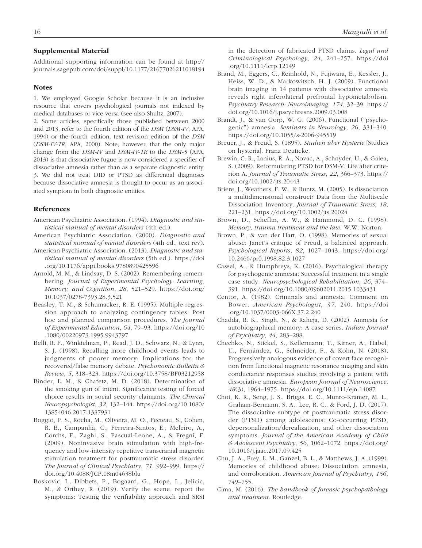#### Supplemental Material

Additional supporting information can be found at [http://](http://journals.sagepub.com/doi/suppl/10.1177/21677026211018194) [journals.sagepub.com/doi/suppl/10.1177/21677026211018194](http://journals.sagepub.com/doi/suppl/10.1177/21677026211018194)

#### Notes

1. We employed Google Scholar because it is an inclusive resource that covers psychological journals not indexed by medical databases or vice versa (see also Shultz, 2007).

2. Some articles, specifically those published between 2000 and 2013, refer to the fourth edition of the *DSM* (*DSM-IV*; APA, 1994) or the fourth edition, text revision edition of the *DSM* (*DSM-IV-TR*; APA, 2000). Note, however, that the only major change from the *DSM-IV* and *DSM-IV-TR* to the *DSM-5* (APA, 2013) is that dissociative fugue is now considered a specifier of dissociative amnesia rather than as a separate diagnostic entity. 3. We did not treat DID or PTSD as differential diagnoses because dissociative amnesia is thought to occur as an associated symptom in both diagnostic entities.

#### **References**

- American Psychiatric Association. (1994). *Diagnostic and statistical manual of mental disorders* (4th ed.).
- American Psychiatric Association. (2000). *Diagnostic and statistical manual of mental disorders* (4th ed., text rev).
- American Psychiatric Association. (2013). *Diagnostic and statistical manual of mental disorders* (5th ed.). [https://doi](https://doi.org/10.1176/appi.books.9780890425596) [.org/10.1176/appi.books.9780890425596](https://doi.org/10.1176/appi.books.9780890425596)
- Arnold, M. M., & Lindsay, D. S. (2002). Remembering remembering. *Journal of Experimental Psychology: Learning, Memory, and Cognition*, *28*, 521–529. [https://doi.org/](https://doi.org/10.1037/0278-7393.28.3.521) [10.1037/0278-7393.28.3.521](https://doi.org/10.1037/0278-7393.28.3.521)
- Beasley, T. M., & Schumacker, R. E. (1995). Multiple regression approach to analyzing contingency tables: Post hoc and planned comparison procedures. *The Journal of Experimental Education*, *64*, 79–93. [https://doi.org/10](https://doi.org/10.1080/00220973.1995.9943797) [.1080/00220973.1995.9943797](https://doi.org/10.1080/00220973.1995.9943797)
- Belli, R. F., Winkielman, P., Read, J. D., Schwarz, N., & Lynn, S. J. (1998). Recalling more childhood events leads to judgments of poorer memory: Implications for the recovered/false memory debate. *Psychonomic Bulletin & Review*, *5*, 318–323.<https://doi.org/10.3758/BF03212958>
- Binder, L. M., & Chafetz, M. D. (2018). Determination of the smoking gun of intent: Significance testing of forced choice results in social security claimants. *The Clinical Neuropsychologist*, *32*, 132–144. [https://doi.org/10.1080/](https://doi.org/10.1080/13854046.2017.1337931) [13854046.2017.1337931](https://doi.org/10.1080/13854046.2017.1337931)
- Boggio, P. S., Rocha, M., Oliveira, M. O., Fecteau, S., Cohen, R. B., Campanhã, C., Ferreira-Santos, E., Meleiro, A., Corchs, F., Zaghi, S., Pascual-Leone, A., & Fregni, F. (2009). Noninvasive brain stimulation with high-frequency and low-intensity repetitive transcranial magnetic stimulation treatment for posttraumatic stress disorder. *The Journal of Clinical Psychiatry*, *71*, 992–999. [https://](https://doi.org/10.4088/JCP.08m04638blu) [doi.org/10.4088/JCP.08m04638blu](https://doi.org/10.4088/JCP.08m04638blu)
- Boskovic, I., Dibbets, P., Bogaard, G., Hope, L., Jelicic, M., & Orthey, R. (2019). Verify the scene, report the symptoms: Testing the verifiability approach and SRSI

in the detection of fabricated PTSD claims. *Legal and Criminological Psychology*, *24*, 241–257. [https://doi](https://doi.org/10.1111/lcrp.12149) [.org/10.1111/lcrp.12149](https://doi.org/10.1111/lcrp.12149)

- Brand, M., Eggers, C., Reinhold, N., Fujiwara, E., Kessler, J., Heiss, W. D., & Markowitsch, H. J. (2009). Functional brain imaging in 14 patients with dissociative amnesia reveals right inferolateral prefrontal hypometabolism. *Psychiatry Research: Neuroimaging*, *174*, 32–39. [https://](https://doi.org/10.1016/j.pscychresns.2009.03.008) [doi.org/10.1016/j.pscychresns.2009.03.008](https://doi.org/10.1016/j.pscychresns.2009.03.008)
- Brandt, J., & van Gorp, W. G. (2006). Functional ("psychogenic") amnesia. *Seminars in Neurology*, *26*, 331–340. <https://doi.org/10.1055/s-2006-945519>
- Breuer, J., & Freud, S. (1895). *Studien über Hysterie* [Studies on hysteria]. Franz Deuticke.
- Brewin, C. R., Lanius, R. A., Novac, A., Schnyder, U., & Galea, S. (2009). Reformulating PTSD for DSM-V: Life after criterion A. *Journal of Traumatic Stress*, *22*, 366–373. [https://](https://doi.org/10.1002/jts.20443) [doi.org/10.1002/jts.20443](https://doi.org/10.1002/jts.20443)
- Briere, J., Weathers, F. W., & Runtz, M. (2005). Is dissociation a multidimensional construct? Data from the Multiscale Dissociation Inventory. *Journal of Traumatic Stress*, *18*, 221–231. <https://doi.org/10.1002/jts.20024>
- Brown, D., Scheflin, A. W., & Hammond, D. C. (1998). *Memory, trauma treatment and the law*. W.W. Norton.
- Brown, P., & van der Hart, O. (1998). Memories of sexual abuse: Janet's critique of Freud, a balanced approach. *Psychological Reports*, *82*, 1027–1043. [https://doi.org/](https://doi.org/10.2466/pr0.1998.82.3.1027) [10.2466/pr0.1998.82.3.1027](https://doi.org/10.2466/pr0.1998.82.3.1027)
- Cassel, A., & Humphreys, K. (2016). Psychological therapy for psychogenic amnesia: Successful treatment in a single case study. *Neuropsychological Rehabilitation*, *26*, 374– 391.<https://doi.org/10.1080/09602011.2015.1033431>
- Centor, A. (1982). Criminals and amnesia: Comment on Bower. *American Psychologist*, *37*, 240. [https://doi](https://doi.org/10.1037/0003-066X.37.2.240) [.org/10.1037/0003-066X.37.2.240](https://doi.org/10.1037/0003-066X.37.2.240)
- Chadda, R. K., Singh, N., & Raheja, D. (2002). Amnesia for autobiographical memory: A case series. *Indian Journal of Psychiatry*, *44*, 283–288.
- Chechko, N., Stickel, S., Kellermann, T., Kirner, A., Habel, U., Fernández, G., Schneider, F., & Kohn, N. (2018). Progressively analogous evidence of covert face recognition from functional magnetic resonance imaging and skin conductance responses studies involving a patient with dissociative amnesia. *European Journal of Neuroscience*, *48*(3), 1964–1975. <https://doi.org/10.1111/ejn.14087>
- Choi, K. R., Seng, J. S., Briggs, E. C., Munro-Kramer, M. L., Graham-Bermann, S. A., Lee, R. C., & Ford, J. D. (2017). The dissociative subtype of posttraumatic stress disorder (PTSD) among adolescents: Co-occurring PTSD, depersonalization/derealization, and other dissociation symptoms. *Journal of the American Academy of Child & Adolescent Psychiatry*, *56*, 1062–1072. [https://doi.org/](https://doi.org/10.1016/j.jaac.2017.09.425) [10.1016/j.jaac.2017.09.425](https://doi.org/10.1016/j.jaac.2017.09.425)
- Chu, J. A., Frey, L. M., Ganzel, B. L., & Matthews, J. A. (1999). Memories of childhood abuse: Dissociation, amnesia, and corroboration. *American Journal of Psychiatry*, *156*, 749–755.
- Cima, M. (2016). *The handbook of forensic psychopathology and treatment*. Routledge.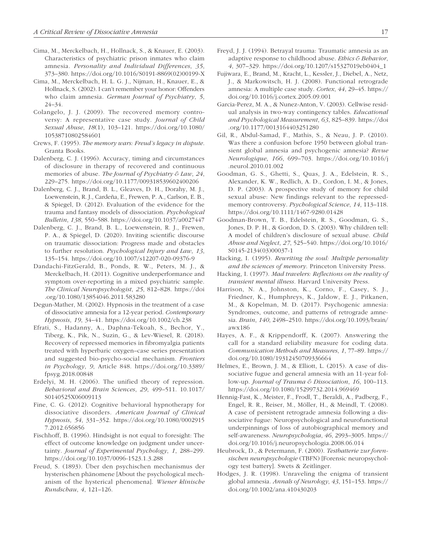- Cima, M., Merckelbach, H., Hollnack, S., & Knauer, E. (2003). Characteristics of psychiatric prison inmates who claim amnesia. *Personality and Individual Differences*, *35*, 373–380. [https://doi.org/10.1016/S0191-8869\(02\)00199-X](https://doi.org/10.1016/S0191-8869(02)00199-X)
- Cima, M., Merckelbach, H. L. G. J., Nijman, H., Knauer, E., & Hollnack, S. (2002). I can't remember your honor: Offenders who claim amnesia. *German Journal of Psychiatry*, *5*, 24–34.
- Colangelo, J. J. (2009). The recovered memory controversy: A representative case study. *Journal of Child Sexual Abuse*, *18*(1), 103–121. [https://doi.org/10.1080/](https://doi.org/10.1080/10538710802584601) [10538710802584601](https://doi.org/10.1080/10538710802584601)
- Crews, F. (1995). *The memory wars: Freud's legacy in dispute*. Granta Books.
- Dalenberg, C. J. (1996). Accuracy, timing and circumstances of disclosure in therapy of recovered and continuous memories of abuse. *The Journal of Psychiatry & Law*, *24*, 229–275. <https://doi.org/10.1177/009318539602400206>
- Dalenberg, C. J., Brand, B. L., Gleaves, D. H., Dorahy, M. J., Loewenstein, R. J., Cardeña, E., Frewen, P. A., Carlson, E. B., & Spiegel, D. (2012). Evaluation of the evidence for the trauma and fantasy models of dissociation. *Psychological Bulletin*, *138*, 550–588.<https://doi.org/10.1037/a0027447>
- Dalenberg, C. J., Brand, B. L., Loewenstein, R. J., Frewen, P. A., & Spiegel, D. (2020). Inviting scientific discourse on traumatic dissociation: Progress made and obstacles to further resolution. *Psychological Injury and Law*, *13*, 135–154. <https://doi.org/10.1007/s12207-020-09376-9>
- Dandachi-FitzGerald, B., Ponds, R. W., Peters, M. J., & Merckelbach, H. (2011). Cognitive underperformance and symptom over-reporting in a mixed psychiatric sample. *The Clinical Neuropsychologist*, *25*, 812–828. [https://doi](https://doi.org/10.1080/13854046.2011.583280) [.org/10.1080/13854046.2011.583280](https://doi.org/10.1080/13854046.2011.583280)
- Degun-Mather, M. (2002). Hypnosis in the treatment of a case of dissociative amnesia for a 12-year period. *Contemporary Hypnosis*, *19*, 34–41. <https://doi.org/10.1002/ch.238>
- Efrati, S., Hadanny, A., Daphna-Tekoah, S., Bechor, Y., Tiberg, K., Pik, N., Suzin, G., & Lev-Wiesel, R. (2018). Recovery of repressed memories in fibromyalgia patients treated with hyperbaric oxygen–case series presentation and suggested bio-psycho-social mechanism. *Frontiers in Psychology*, *9*, Article 848. [https://doi.org/10.3389/](https://doi.org/10.3389/fpsyg.2018.00848) [fpsyg.2018.00848](https://doi.org/10.3389/fpsyg.2018.00848)
- Erdelyi, M. H. (2006). The unified theory of repression. *Behavioral and Brain Sciences*, *29*, 499–511. 10.1017/ S0140525X06009113
- Fine, C. G. (2012). Cognitive behavioral hypnotherapy for dissociative disorders. *American Journal of Clinical Hypnosis*, *54*, 331–352. [https://doi.org/10.1080/0002915](https://doi.org/10.1080/00029157.2012.656856) [7.2012.656856](https://doi.org/10.1080/00029157.2012.656856)
- Fischhoff, B. (1996). Hindsight is not equal to foresight: The effect of outcome knowledge on judgment under uncertainty. *Journal of Experimental Psychology*, *1*, 288–299. <https://doi.org/10.1037/0096-1523.1.3.288>
- Freud, S. (1893). Über den psychischen mechanismus der hysterischen phänomene [About the psychological mechanism of the hysterical phenomena]. *Wiener klinische Rundschau*, *4*, 121–126.
- Freyd, J. J. (1994). Betrayal trauma: Traumatic amnesia as an adaptive response to childhood abuse. *Ethics & Behavior*, *4*, 307–329. [https://doi.org/10.1207/s15327019eb0404\\_1](https://doi.org/10.1207/s15327019eb0404_1)
- Fujiwara, E., Brand, M., Kracht, L., Kessler, J., Diebel, A., Netz, J., & Markowitsch, H. J. (2008). Functional retrograde amnesia: A multiple case study. *Cortex*, *44*, 29–45. [https://](https://doi.org/10.1016/j.cortex.2005.09.001) [doi.org/10.1016/j.cortex.2005.09.001](https://doi.org/10.1016/j.cortex.2005.09.001)
- Garcia-Perez, M. A., & Nunez-Anton, V. (2003). Cellwise residual analysis in two-way contingency tables. *Educational and Psychological Measurement*, *63*, 825–839. [https://doi](https://doi.org/10.1177/0013164403251280) [.org/10.1177/0013164403251280](https://doi.org/10.1177/0013164403251280)
- Gil, R., Abdul-Samad, F., Mathis, S., & Neau, J. P. (2010). Was there a confusion before 1950 between global transient global amnesia and psychogenic amnesia? *Revue Neurologique*, *166*, 699–703. [https://doi.org/10.1016/j](https://doi.org/10.1016/j.neurol.2010.01.002) [.neurol.2010.01.002](https://doi.org/10.1016/j.neurol.2010.01.002)
- Goodman, G. S., Ghetti, S., Quas, J. A., Edelstein, R. S., Alexander, K. W., Redlich, A. D., Cordon, I. M., & Jones, D. P. (2003). A prospective study of memory for child sexual abuse: New findings relevant to the repressedmemory controversy. *Psychological Science*, *14*, 113–118. <https://doi.org/10.1111/1467-9280.01428>
- Goodman-Brown, T. B., Edelstein, R. S., Goodman, G. S., Jones, D. P. H., & Gordon, D. S. (2003). Why children tell: A model of children's disclosure of sexual abuse. *Child Abuse and Neglect*, *27*, 525–540. [https://doi.org/10.1016/](https://doi.org/10.1016/S0145-2134(03)00037-1) [S0145-2134\(03\)00037-1](https://doi.org/10.1016/S0145-2134(03)00037-1)
- Hacking, I. (1995). *Rewriting the soul: Multiple personality and the sciences of memory*. Princeton University Press.
- Hacking, I. (1997). *Mad travelers: Reflections on the reality of transient mental illness*. Harvard University Press.
- Harrison, N. A., Johnston, K., Corno, F., Casey, S. J., Friedner, K., Humphreys, K., Jaldow, E. J., Pitkanen, M., & Kopelman, M. D. (2017). Psychogenic amnesia: Syndromes, outcome, and patterns of retrograde amnesia. *Brain*, *140*, 2498–2510. [https://doi.org/10.1093/brain/](https://doi.org/10.1093/brain/awx186) [awx186](https://doi.org/10.1093/brain/awx186)
- Hayes, A. F., & Krippendorff, K. (2007). Answering the call for a standard reliability measure for coding data. *Communication Methods and Measures*, *1*, 77–89. [https://](https://doi.org/10.1080/19312450709336664) [doi.org/10.1080/19312450709336664](https://doi.org/10.1080/19312450709336664)
- Helmes, E., Brown, J. M., & Elliott, L. (2015). A case of dissociative fugue and general amnesia with an 11-year follow-up. *Journal of Trauma & Dissociation*, *16*, 100–113. <https://doi.org/10.1080/15299732.2014.969469>
- Hennig-Fast, K., Meister, F., Frodl, T., Beraldi, A., Padberg, F., Engel, R. R., Reiser, M., Möller, H., & Meindl, T. (2008). A case of persistent retrograde amnesia following a dissociative fugue: Neuropsychological and neurofunctional underpinnings of loss of autobiographical memory and self-awareness. *Neuropsychologia*, *46*, 2993–3005. [https://](https://doi.org/10.1016/j.neuropsychologia.2008.06.014) [doi.org/10.1016/j.neuropsychologia.2008.06.014](https://doi.org/10.1016/j.neuropsychologia.2008.06.014)
- Heubrock, D., & Petermann, F. (2000). *Testbatterie zur forensischen neuropsychologie* (TBFN) [Forensic neuropsychology test battery]. Swets & Zeitlinger.
- Hodges, J. R. (1998). Unraveling the enigma of transient global amnesia. *Annals of Neurology*, *43*, 151–153. [https://](https://doi.org/10.1002/ana.410430203) [doi.org/10.1002/ana.410430203](https://doi.org/10.1002/ana.410430203)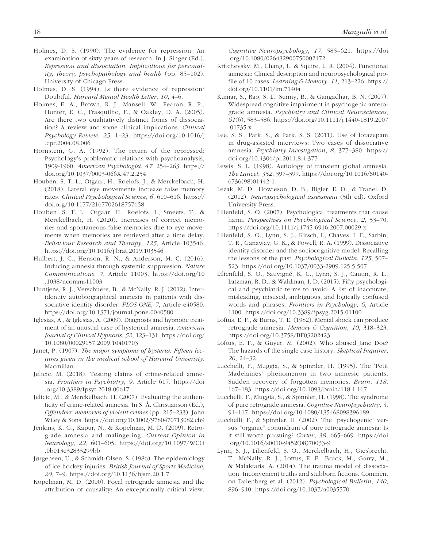- Holmes, D. S. (1990). The evidence for repression: An examination of sixty years of research. In J. Singer (Ed.), *Repression and dissociation: Implications for personality, theory, psychopathology and health* (pp. 85–102). University of Chicago Press.
- Holmes, D. S. (1994). Is there evidence of repression? Doubtful. *Harvard Mental Health Letter*, *10*, 4–6.
- Holmes, E. A., Brown, R. J., Mansell, W., Fearon, R. P., Hunter, E. C., Frasquilho, F., & Oakley, D. A. (2005). Are there two qualitatively distinct forms of dissociation? A review and some clinical implications. *Clinical Psychology Review*, *25*, 1–23. [https://doi.org/10.1016/j](https://doi.org/10.1016/j.cpr.2004.08.006) [.cpr.2004.08.006](https://doi.org/10.1016/j.cpr.2004.08.006)
- Hornstein, G. A. (1992). The return of the repressed: Psychology's problematic relations with psychoanalysis, 1909-1960. *American Psychologist*, *47*, 254–263. [https://](https://doi.org/10.1037/0003-066X.47.2.254) [doi.org/10.1037/0003-066X.47.2.254](https://doi.org/10.1037/0003-066X.47.2.254)
- Houben, S. T. L., Otgaar, H., Roelofs, J., & Merckelbach, H. (2018). Lateral eye movements increase false memory rates. *Clinical Psychological Science*, *6*, 610–616. [https://](https://doi.org/10.1177/2167702618757658) [doi.org/10.1177/2167702618757658](https://doi.org/10.1177/2167702618757658)
- Houben, S. T. L., Otgaar, H., Roelofs, J., Smeets, T., & Merckelbach, H. (2020). Increases of correct memories and spontaneous false memories due to eye movements when memories are retrieved after a time delay. *Behaviour Research and Therapy*, *125*, Article 103546. <https://doi.org/10.1016/j.brat.2019.103546>
- Hulbert, J. C., Henson, R. N., & Anderson, M. C. (2016). Inducing amnesia through systemic suppression. *Nature Communications*, *7*, Article 11003. [https://doi.org/10](https://doi.org/10.1038/ncomms11003) [.1038/ncomms11003](https://doi.org/10.1038/ncomms11003)
- Huntjens, R. J., Verschuere, B., & McNally, R. J. (2012). Interidentity autobiographical amnesia in patients with dissociative identity disorder. *PLOS ONE*, *7*, Article e40580. <https://doi.org/10.1371/journal.pone.0040580>
- Iglesias, A., & Iglesias, A. (2009). Diagnosis and hypnotic treatment of an unusual case of hysterical amnesia. *American Journal of Clinical Hypnosis*, *52*, 123–131. [https://doi.org/](https://doi.org/10.1080/00029157.2009.10401703) [10.1080/00029157.2009.10401703](https://doi.org/10.1080/00029157.2009.10401703)
- Janet, P. (1907). *The major symptoms of hysteria: Fifteen lectures given in the medical school of Harvard University*. Macmillan.
- Jelicic, M. (2018). Testing claims of crime-related amnesia. *Frontiers in Psychiatry*, *9*, Article 617. [https://doi](https://doi.org/10.3389/fpsyt.2018.00617) [.org/10.3389/fpsyt.2018.00617](https://doi.org/10.3389/fpsyt.2018.00617)
- Jelicic, M., & Merckelbach, H. (2007). Evaluating the authenticity of crime-related amnesia. In S. Å. Christianson (Ed.), *Offenders' memories of violent crimes* (pp. 215–233). John Wiley & Sons.<https://doi.org/10.1002/9780470713082.ch9>
- Jenkins, K. G., Kapur, N., & Kopelman, M. D. (2009). Retrograde amnesia and malingering. *Current Opinion in Neurology*, *22*, 601–605. [https://doi.org/10.1097/WCO](https://doi.org/10.1097/WCO.0b013e32833299bb) [.0b013e32833299bb](https://doi.org/10.1097/WCO.0b013e32833299bb)
- Jørgensen, U., & Schmidt-Olsen, S. (1986). The epidemiology of ice hockey injuries. *British Journal of Sports Medicine*, *20*, 7–9. <https://doi.org/10.1136/bjsm.20.1.7>
- Kopelman, M. D. (2000). Focal retrograde amnesia and the attribution of causality: An exceptionally critical view.

*Cognitive Neuropsychology*, *17*, 585–621. [https://doi](https://doi.org/10.1080/026432900750002172) [.org/10.1080/026432900750002172](https://doi.org/10.1080/026432900750002172)

- Kritchevsky, M., Chang, J., & Squire, L. R. (2004). Functional amnesia: Clinical description and neuropsychological profile of 10 cases. *Learning & Memory*, *11*, 213–226. [https://](https://doi.org/10.1101/lm.71404) [doi.org/10.1101/lm.71404](https://doi.org/10.1101/lm.71404)
- Kumar, S., Rao, S. L., Sunny, B., & Gangadhar, B. N. (2007). Widespread cognitive impairment in psychogenic anterograde amnesia. *Psychiatry and Clinical Neurosciences*, *61*(6), 583–586. [https://doi.org/10.1111/j.1440-1819.2007](https://doi.org/10.1111/j.1440-1819.2007.01735.x) [.01735.x](https://doi.org/10.1111/j.1440-1819.2007.01735.x)
- Lee, S. S., Park, S., & Park, S. S. (2011). Use of lorazepam in drug-assisted interviews: Two cases of dissociative amnesia. *Psychiatry Investigation*, *8*, 377–380. [https://](https://doi.org/10.4306/pi.2011.8.4.377) [doi.org/10.4306/pi.2011.8.4.377](https://doi.org/10.4306/pi.2011.8.4.377)
- Lewis, S. L. (1998). Aetiology of transient global amnesia. *The Lancet*, *352*, 397–399. [https://doi.org/10.1016/S0140-](https://doi.org/10.1016/S0140-6736(98)01442-1) [6736\(98\)01442-1](https://doi.org/10.1016/S0140-6736(98)01442-1)
- Lezak, M. D., Howieson, D. B., Bigler, E. D., & Tranel, D. (2012). *Neuropsychological assessment* (5th ed). Oxford University Press.
- Lilienfeld, S. O. (2007). Psychological treatments that cause harm. *Perspectives on Psychological Science*, *2*, 53–70. <https://doi.org/10.1111/j.1745-6916.2007.00029.x>
- Lilienfeld, S. O., Lynn, S. J., Kirsch, I., Chaves, J. F., Sarbin, T. R., Ganaway, G. K., & Powell, R. A. (1999). Dissociative identity disorder and the sociocognitive model: Recalling the lessons of the past. *Psychological Bulletin*, *125*, 507– 523.<https://doi.org/10.1037/0033-2909.125.5.507>
- Lilienfeld, S. O., Sauvigné, K. C., Lynn, S. J., Cautin, R. L., Latzman, R. D., & Waldman, I. D. (2015). Fifty psychological and psychiatric terms to avoid: A list of inaccurate, misleading, misused, ambiguous, and logically confused words and phrases. *Frontiers in Psychology*, *6*, Article 1100. <https://doi.org/10.3389/fpsyg.2015.01100>
- Loftus, E. F., & Burns, T. E. (1982). Mental shock can produce retrograde amnesia. *Memory & Cognition*, *10*, 318–323. <https://doi.org/10.3758/BF03202423>
- Loftus, E. F., & Guyer, M. (2002). Who abused Jane Doe? The hazards of the single case history. *Skeptical Inquirer*, *26*, 24–32.
- Lucchelli, F., Muggia, S., & Spinnler, H. (1995). The 'Petit Madelaines' phenomenon in two amnesic patients. Sudden recovery of forgotten memories. *Brain*, *118*, 167–183. <https://doi.org/10.1093/brain/118.1.167>
- Lucchelli, F., Muggia, S., & Spinnler, H. (1998). The syndrome of pure retrograde amnesia. *Cognitive Neuropsychiatry*, *3*, 91–117.<https://doi.org/10.1080/135468098396189>
- Lucchelli, F., & Spinnler, H. (2002). The "psychogenic" versus "organic" conundrum of pure retrograde amnesia: Is it still worth pursuing? *Cortex*, *38*, 665–669. [https://doi](https://doi.org/10.1016/s0010-9452(08)70033-9) [.org/10.1016/s0010-9452\(08\)70033-9](https://doi.org/10.1016/s0010-9452(08)70033-9)
- Lynn, S. J., Lilienfeld, S. O., Merckelbach, H., Giesbrecht, T., McNally, R. J., Loftus, E. F., Bruck, M., Garry, M., & Malaktaris, A. (2014). The trauma model of dissociation: Inconvenient truths and stubborn fictions. Comment on Dalenberg et al. (2012). *Psychological Bulletin*, *140*, 896–910. <https://doi.org/10.1037/a0035570>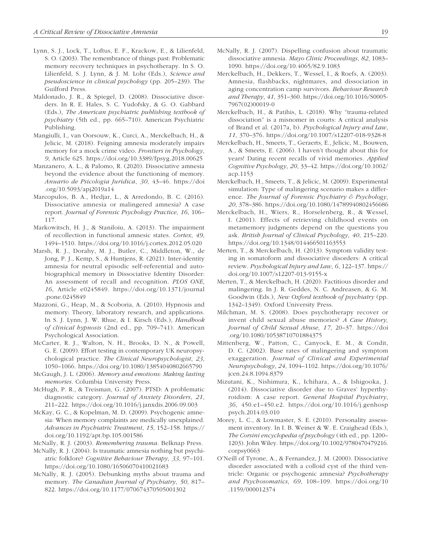- Lynn, S. J., Lock, T., Loftus, E. F., Krackow, E., & Lilienfeld, S. O. (2003). The remembrance of things past: Problematic memory recovery techniques in psychotherapy. In S. O. Lilienfeld, S. J. Lynn, & J. M. Lohr (Eds.), *Science and pseudoscience in clinical psychology* (pp. 205–239). The Guilford Press.
- Maldonado, J. R., & Spiegel, D. (2008). Dissociative disorders. In R. E. Hales, S. C. Yudofsky, & G. O. Gabbard (Eds.), *The American psychiatric publishing textbook of psychiatry* (5th ed., pp. 665–710). American Psychiatric Publishing.
- Mangiulli, I., van Oorsouw, K., Curci, A., Merckelbach, H., & Jelicic, M. (2018). Feigning amnesia moderately impairs memory for a mock crime video. *Frontiers in Psychology*, *9*, Article 625. <https://doi.org/10.3389/fpsyg.2018.00625>
- Manzanero, A. L., & Palomo, R. (2020). Dissociative amnesia beyond the evidence about the functioning of memory. *Anuario de Psicologia Juridica*, *30*, 43–46. [https://doi](https://doi.org/10.5093/apj2019a14) [.org/10.5093/apj2019a14](https://doi.org/10.5093/apj2019a14)
- Marcopulos, B. A., Hedjar, L., & Arredondo, B. C. (2016). Dissociative amnesia or malingered amnesia? A case report. *Journal of Forensic Psychology Practice*, *16*, 106– 117.
- Markowitsch, H. J., & Staniloiu, A. (2013). The impairment of recollection in functional amnesic states. *Cortex*, *49*, 1494–1510. <https://doi.org/10.1016/j.cortex.2012.05.020>
- Marsh, R. J., Dorahy, M. J., Butler, C., Middleton, W., de Jong, P. J., Kemp, S., & Huntjens, R. (2021). Inter-identity amnesia for neutral episodic self-referential and autobiographical memory in Dissociative Identity Disorder: An assessment of recall and recognition. *PLOS ONE*, *16*, Article e0245849. [https://doi.org/10.1371/journal](https://doi.org/10.1371/journal.pone.0245849) [.pone.0245849](https://doi.org/10.1371/journal.pone.0245849)
- Mazzoni, G., Heap, M., & Scoboria, A. (2010). Hypnosis and memory: Theory, laboratory research, and applications. In S. J. Lynn, J. W. Rhue, & I. Kirsch (Eds.), *Handbook of clinical hypnosis* (2nd ed., pp. 709–741). American Psychological Association.
- McCarter, R. J., Walton, N. H., Brooks, D. N., & Powell, G. E. (2009). Effort testing in contemporary UK neuropsychological practice. *The Clinical Neuropsychologist*, *23*, 1050–1066. <https://doi.org/10.1080/13854040802665790>
- McGaugh, J. L. (2006). *Memory and emotions: Making lasting memories*. Columbia University Press.
- McHugh, P. R., & Treisman, G. (2007). PTSD: A problematic diagnostic category. *Journal of Anxiety Disorders*, *21*, 211–222. <https://doi.org/10.1016/j.janxdis.2006.09.003>
- McKay, G. C., & Kopelman, M. D. (2009). Psychogenic amnesia: When memory complaints are medically unexplained. *Advances in Psychiatric Treatment*, *15*, 152–158. [https://](https://doi.org/10.1192/apt.bp.105.001586) [doi.org/10.1192/apt.bp.105.001586](https://doi.org/10.1192/apt.bp.105.001586)
- McNally, R. J. (2003). *Remembering trauma*. Belknap Press.
- McNally, R. J. (2004). Is traumatic amnesia nothing but psychiatric folklore? *Cognitive Behaviour Therapy*, *33*, 97–101. <https://doi.org/10.1080/16506070410021683>
- McNally, R. J. (2005). Debunking myths about trauma and memory. *The Canadian Journal of Psychiatry*, *50*, 817– 822. <https://doi.org/10.1177/070674370505001302>
- McNally, R. J. (2007). Dispelling confusion about traumatic dissociative amnesia. *Mayo Clinic Proceedings*, *82*, 1083– 1090. <https://doi.org/10.4065/82.9.1083>
- Merckelbach, H., Dekkers, T., Wessel, I., & Roefs, A. (2003). Amnesia, flashbacks, nightmares, and dissociation in aging concentration camp survivors. *Behaviour Research and Therapy*, *41*, 351–360. [https://doi.org/10.1016/S0005-](https://doi.org/10.1016/S0005-7967(02)00019-0) [7967\(02\)00019-0](https://doi.org/10.1016/S0005-7967(02)00019-0)
- Merckelbach, H., & Patihis, L. (2018). Why "trauma-related dissociation" is a misnomer in courts: A critical analysis of Brand et al. (2017a, b). *Psychological Injury and Law*, *11*, 370–376. <https://doi.org/10.1007/s12207-018-9328-8>
- Merckelbach, H., Smeets, T., Geraerts, E., Jelicic, M., Bouwen, A., & Smeets, E. (2006). I haven't thought about this for years! Dating recent recalls of vivid memories. *Applied Cognitive Psychology*, *20*, 33–42. [https://doi.org/10.1002/](https://doi.org/10.1002/acp.1153) [acp.1153](https://doi.org/10.1002/acp.1153)
- Merckelbach, H., Smeets, T., & Jelicic, M. (2009). Experimental simulation: Type of malingering scenario makes a difference. *The Journal of Forensic Psychiatry & Psychology*, *20*, 378–386.<https://doi.org/10.1080/14789940802456686>
- Merckelbach, H., Wiers, R., Horselenberg, R., & Wessel, I. (2001). Effects of retrieving childhood events on metamemory judgments depend on the questions you ask. *British Journal of Clinical Psychology*, *40*, 215–220. <https://doi.org/10.1348/014466501163553>
- Merten, T., & Merckelbach, H. (2013). Symptom validity testing in somatoform and dissociative disorders: A critical review. *Psychological Injury and Law*, *6*, 122–137. [https://](https://doi.org/10.1007/s12207-013-9155-x) [doi.org/10.1007/s12207-013-9155-x](https://doi.org/10.1007/s12207-013-9155-x)
- Merten, T., & Merckelbach, H. (2020). Factitious disorder and malingering. In J. R. Geddes, N. C. Andreasen, & G. M. Goodwin (Eds.), *New Oxford textbook of psychiatry* (pp. 1342–1349). Oxford University Press.
- Milchman, M. S. (2008). Does psychotherapy recover or invent child sexual abuse memories? *A Case History, Journal of Child Sexual Abuse*, *17*, 20–37. [https://doi](https://doi.org/10.1080/10538710701884375) [.org/10.1080/10538710701884375](https://doi.org/10.1080/10538710701884375)
- Mittenberg, W., Patton, C., Canyock, E. M., & Condit, D. C. (2002). Base rates of malingering and symptom exaggeration. *Journal of Clinical and Experimental Neuropsychology*, *24*, 1094–1102. [https://doi.org/10.1076/](https://doi.org/10.1076/jcen.24.8.1094.8379) [jcen.24.8.1094.8379](https://doi.org/10.1076/jcen.24.8.1094.8379)
- Mizutani, K., Nishimura, K., Ichihara, A., & Ishigooka, J. (2014). Dissociative disorder due to Graves' hyperthyroidism: A case report. *General Hospital Psychiatry*, *36*, 450.e1–450.e2. [https://doi.org/10.1016/j.genhosp](https://doi.org/10.1016/j.genhosppsych.2014.03.010) [psych.2014.03.010](https://doi.org/10.1016/j.genhosppsych.2014.03.010)
- Morey, L. C., & Lowmaster, S. E. (2010). Personality assessment inventory. In I. B. Weiner & W. E. Craighead (Eds.), *The Corsini encyclopedia of psychology* (4th ed., pp. 1200– 1203). John Wiley. [https://doi.org/10.1002/9780470479216.](https://doi.org/10.1002/9780470479216.corpsy0663) [corpsy0663](https://doi.org/10.1002/9780470479216.corpsy0663)
- O'Neill of Tyrone, A., & Fernandez, J. M. (2000). Dissociative disorder associated with a colloid cyst of the third ventricle: Organic or psychogenic amnesia? *Psychotherapy and Psychosomatics*, *69*, 108–109. [https://doi.org/10](https://doi.org/10.1159/000012374) [.1159/000012374](https://doi.org/10.1159/000012374)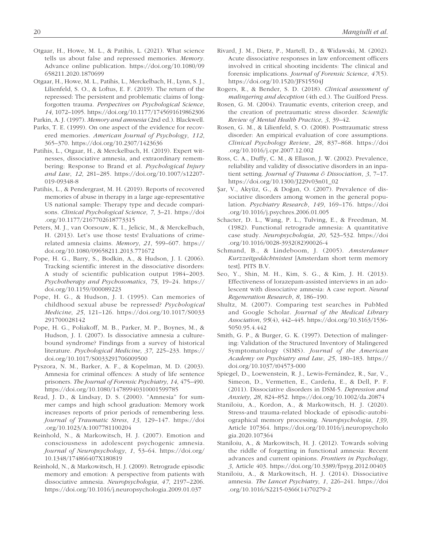- Otgaar, H., Howe, M. L., & Patihis, L. (2021). What science tells us about false and repressed memories. *Memory*. Advance online publication. [https://doi.org/10.1080/09](https://doi.org/10.1080/09658211.2020.1870699) [658211.2020.1870699](https://doi.org/10.1080/09658211.2020.1870699)
- Otgaar, H., Howe, M. L., Patihis, L., Merckelbach, H., Lynn, S. J., Lilienfeld, S. O., & Loftus, E. F. (2019). The return of the repressed: The persistent and problematic claims of longforgotten trauma. *Perspectives on Psychological Science*, *14*, 1072–1095.<https://doi.org/10.1177/1745691619862306>

Parkin, A. J. (1997). *Memory and amnesia* (2nd ed.). Blackwell.

- Parks, T. E. (1999). On one aspect of the evidence for recovered memories. *American Journal of Psychology*, *112*, 365–370. <https://doi.org/10.2307/1423636>
- Patihis, L., Otgaar, H., & Merckelbach, H. (2019). Expert witnesses, dissociative amnesia, and extraordinary remembering: Response to Brand et al. *Psychological Injury and Law*, *12*, 281–285. [https://doi.org/10.1007/s12207-](https://doi.org/10.1007/s12207-019-09348-8) [019-09348-8](https://doi.org/10.1007/s12207-019-09348-8)
- Patihis, L., & Pendergrast, M. H. (2019). Reports of recovered memories of abuse in therapy in a large age-representative US national sample: Therapy type and decade comparisons. *Clinical Psychological Science*, *7*, 3–21. [https://doi](https://doi.org/10.1177/2167702618773315) [.org/10.1177/2167702618773315](https://doi.org/10.1177/2167702618773315)
- Peters, M. J., van Oorsouw, K. I., Jelicic, M., & Merckelbach, H. (2013). Let's use those tests! Evaluations of crimerelated amnesia claims. *Memory*, *21*, 599–607. [https://](https://doi.org/10.1080/09658211.2013.771672) [doi.org/10.1080/09658211.2013.771672](https://doi.org/10.1080/09658211.2013.771672)
- Pope, H. G., Barry, S., Bodkin, A., & Hudson, J. I. (2006). Tracking scientific interest in the dissociative disorders: A study of scientific publication output 1984–2003. *Psychotherapy and Psychosomatics*, *75*, 19–24. [https://](https://doi.org/10.1159/000089223) [doi.org/10.1159/000089223](https://doi.org/10.1159/000089223)
- Pope, H. G., & Hudson, J. I. (1995). Can memories of childhood sexual abuse be repressed? *Psychological Medicine*, *25*, 121–126. [https://doi.org/10.1017/S0033](https://doi.org/10.1017/S0033291700028142) [291700028142](https://doi.org/10.1017/S0033291700028142)
- Pope, H. G., Poliakoff, M. B., Parker, M. P., Boynes, M., & Hudson, J. I. (2007). Is dissociative amnesia a culturebound syndrome? Findings from a survey of historical literature. *Psychological Medicine*, *37*, 225–233. [https://](https://doi.org/10.1017/S0033291706009500) [doi.org/10.1017/S0033291706009500](https://doi.org/10.1017/S0033291706009500)
- Pyszora, N. M., Barker, A. F., & Kopelman, M. D. (2003). Amnesia for criminal offences: A study of life sentence prisoners. *The Journal of Forensic Psychiatry*, *14*, 475–490. <https://doi.org/10.1080/14789940310001599785>
- Read, J. D., & Lindsay, D. S. (2000). "Amnesia" for summer camps and high school graduation: Memory work increases reports of prior periods of remembering less. *Journal of Traumatic Stress*, *13*, 129–147. [https://doi](https://doi.org/10.1023/A:1007781100204) [.org/10.1023/A:1007781100204](https://doi.org/10.1023/A:1007781100204)
- Reinhold, N., & Markowitsch, H. J. (2007). Emotion and consciousness in adolescent psychogenic amnesia. *Journal of Neuropsychology*, *1*, 53–64. [https://doi.org/](https://doi.org/10.1348/174866407X180819) [10.1348/174866407X180819](https://doi.org/10.1348/174866407X180819)
- Reinhold, N., & Markowitsch, H. J. (2009). Retrograde episodic memory and emotion: A perspective from patients with dissociative amnesia. *Neuropsychologia*, *47*, 2197–2206. <https://doi.org/10.1016/j.neuropsychologia.2009.01.037>
- Rivard, J. M., Dietz, P., Martell, D., & Widawski, M. (2002). Acute dissociative responses in law enforcement officers involved in critical shooting incidents: The clinical and forensic implications. *Journal of Forensic Science*, *47*(5). <https://doi.org/10.1520/JFS15504J>
- Rogers, R., & Bender, S. D. (2018). *Clinical assessment of malingering and deception* (4th ed.). The Guilford Press.
- Rosen, G. M. (2004). Traumatic events, criterion creep, and the creation of pretraumatic stress disorder. *Scientific Review of Mental Health Practice*, *3*, 39–42.
- Rosen, G. M., & Lilienfeld, S. O. (2008). Posttraumatic stress disorder: An empirical evaluation of core assumptions. *Clinical Psychology Review*, *28*, 837–868. [https://doi](https://doi.org/10.1016/j.cpr.2007.12.002) [.org/10.1016/j.cpr.2007.12.002](https://doi.org/10.1016/j.cpr.2007.12.002)
- Ross, C. A., Duffy, C. M., & Ellason, J. W. (2002). Prevalence, reliability and validity of dissociative disorders in an inpatient setting. *Journal of Trauma & Dissociation*, *3*, 7–17. [https://doi.org/10.1300/J229v03n01\\_02](https://doi.org/10.1300/J229v03n01_02)
- Şar, V., Akyüz, G., & Doğan, O. (2007). Prevalence of dissociative disorders among women in the general population. *Psychiatry Research*, *149*, 169–176. [https://doi](https://doi.org/10.1016/j.psychres.2006.01.005) [.org/10.1016/j.psychres.2006.01.005](https://doi.org/10.1016/j.psychres.2006.01.005)
- Schacter, D. L., Wang, P. L., Tulving, E., & Freedman, M. (1982). Functional retrograde amnesia: A quantitative case study. *Neuropsychologia*, *20*, 523–532. [https://doi](https://doi.org/10.1016/0028-3932(82)90026-4) [.org/10.1016/0028-3932\(82\)90026-4](https://doi.org/10.1016/0028-3932(82)90026-4)
- Schmand, B., & Lindeboom, J. (2005). *Amsterdamer Kurzzeitgedächtnistest* [Amsterdam short term memory test]. PITS B.V.
- Seo, Y., Shin, M. H., Kim, S. G., & Kim, J. H. (2013). Effectiveness of lorazepam-assisted interviews in an adolescent with dissociative amnesia: A case report. *Neural Regeneration Research*, *8*, 186–190.
- Shultz, M. (2007). Comparing test searches in PubMed and Google Scholar. *Journal of the Medical Library Association*, *95*(4), 442–445. [https://doi.org/10.3163/1536-](https://doi.org/10.3163/1536-5050.95.4.442) [5050.95.4.442](https://doi.org/10.3163/1536-5050.95.4.442)
- Smith, G. P., & Burger, G. K. (1997). Detection of malingering: Validation of the Structured Inventory of Malingered Symptomatology (SIMS). *Journal of the American Academy on Psychiatry and Law*, *25*, 180–183. [https://](https://doi.org/10.1037/t04573-000) [doi.org/10.1037/t04573-000](https://doi.org/10.1037/t04573-000)
- Spiegel, D., Loewenstein, R. J., Lewis-Fernández, R., Sar, V., Simeon, D., Vermetten, E., Cardeña, E., & Dell, P. F. (2011). Dissociative disorders in DSM-5. *Depression and Anxiety*, *28*, 824–852. <https://doi.org/10.1002/da.20874>
- Staniloiu, A., Kordon, A., & Markowitsch, H. J. (2020). Stress-and trauma-related blockade of episodic-autobiographical memory processing. *Neuropsychologia*, *139*, Article 107364. [https://doi.org/10.1016/j.neuropsycholo](https://doi.org/10.1016/j.neuropsychologia.2020.107364) [gia.2020.107364](https://doi.org/10.1016/j.neuropsychologia.2020.107364)
- Staniloiu, A., & Markowitsch, H. J. (2012). Towards solving the riddle of forgetting in functional amnesia: Recent advances and current opinions. *Frontiers in Psychology*, *3*, Article 403. <https://doi.org/10.3389/fpsyg.2012.00403>
- Staniloiu, A., & Markowitsch, H. J. (2014). Dissociative amnesia. *The Lancet Psychiatry*, *1*, 226–241. [https://doi](https://doi.org/10.1016/S2215-0366(14)70279-2) [.org/10.1016/S2215-0366\(14\)70279-2](https://doi.org/10.1016/S2215-0366(14)70279-2)